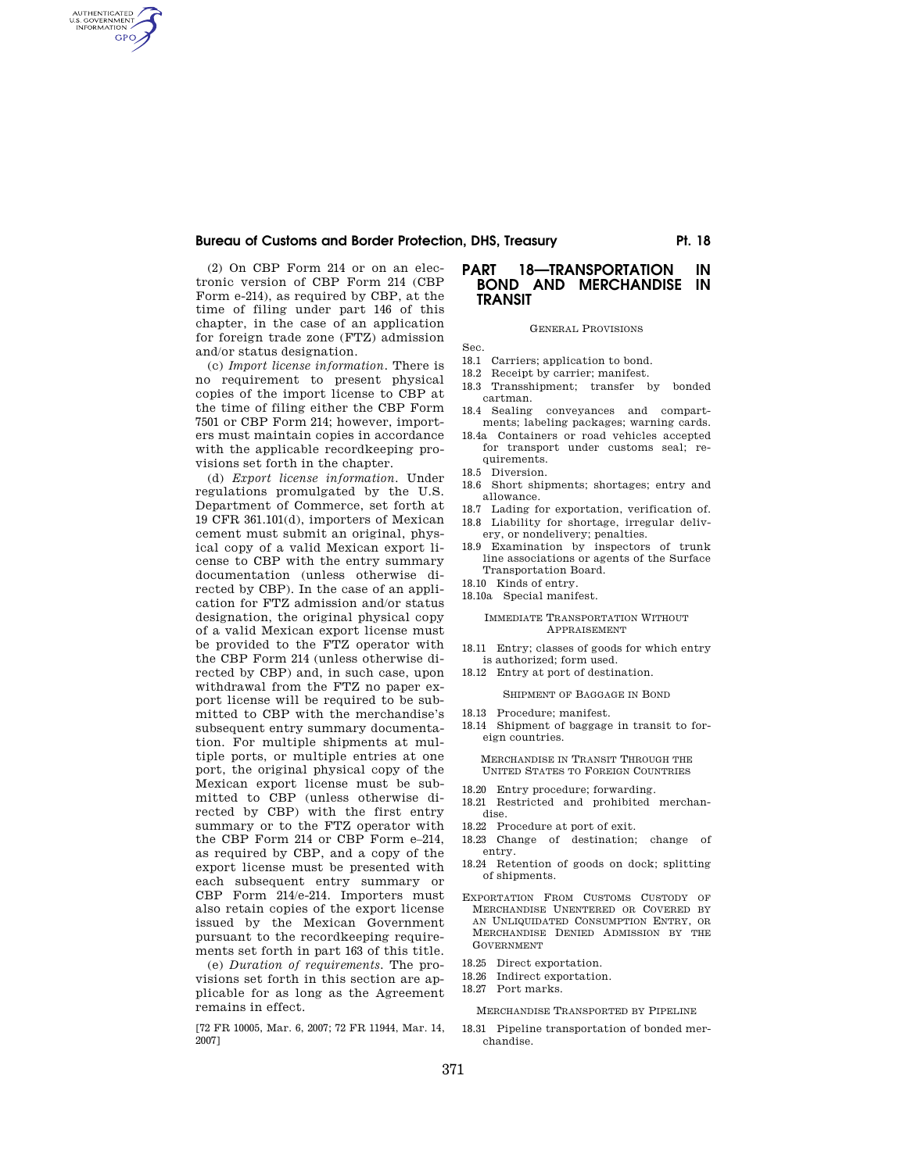# Bureau of Customs and Border Protection, DHS, Treasury **Primition** Pt. 18

(2) On CBP Form 214 or on an electronic version of CBP Form 214 (CBP Form e-214), as required by CBP, at the time of filing under part 146 of this chapter, in the case of an application for foreign trade zone (FTZ) admission and/or status designation.

AUTHENTICATED<br>U.S. GOVERNMENT<br>INFORMATION GPO

> (c) *Import license information.* There is no requirement to present physical copies of the import license to CBP at the time of filing either the CBP Form 7501 or CBP Form 214; however, importers must maintain copies in accordance with the applicable recordkeeping provisions set forth in the chapter.

(d) *Export license information.* Under regulations promulgated by the U.S. Department of Commerce, set forth at 19 CFR 361.101(d), importers of Mexican cement must submit an original, physical copy of a valid Mexican export license to CBP with the entry summary documentation (unless otherwise directed by CBP). In the case of an application for FTZ admission and/or status designation, the original physical copy of a valid Mexican export license must be provided to the FTZ operator with the CBP Form 214 (unless otherwise directed by CBP) and, in such case, upon withdrawal from the FTZ no paper export license will be required to be submitted to CBP with the merchandise's subsequent entry summary documentation. For multiple shipments at multiple ports, or multiple entries at one port, the original physical copy of the Mexican export license must be submitted to CBP (unless otherwise directed by CBP) with the first entry summary or to the FTZ operator with the CBP Form 214 or CBP Form e–214, as required by CBP, and a copy of the export license must be presented with each subsequent entry summary or CBP Form 214/e-214. Importers must also retain copies of the export license issued by the Mexican Government pursuant to the recordkeeping requirements set forth in part 163 of this title.

(e) *Duration of requirements.* The provisions set forth in this section are applicable for as long as the Agreement remains in effect.

[72 FR 10005, Mar. 6, 2007; 72 FR 11944, Mar. 14, 2007]

# **PART 18—TRANSPORTATION IN BOND AND MERCHANDISE IN TRANSIT**

#### GENERAL PROVISIONS

Sec.

- 18.1 Carriers; application to bond.
- 18.2 Receipt by carrier; manifest.
- 18.3 Transshipment; transfer by bonded cartman.
- 18.4 Sealing conveyances and compartments; labeling packages; warning cards.
- 18.4a Containers or road vehicles accepted for transport under customs seal; requirements.
- 18.5 Diversion.
- 18.6 Short shipments; shortages; entry and allowance.
- 18.7 Lading for exportation, verification of. 18.8 Liability for shortage, irregular deliv-
- ery, or nondelivery; penalties. 18.9 Examination by inspectors of trunk
- line associations or agents of the Surface Transportation Board.
- 18.10 Kinds of entry.
- 18.10a Special manifest.

#### IMMEDIATE TRANSPORTATION WITHOUT APPRAISEMENT

- 18.11 Entry; classes of goods for which entry is authorized; form used.
- 18.12 Entry at port of destination.

SHIPMENT OF BAGGAGE IN BOND

- 18.13 Procedure; manifest.
- 18.14 Shipment of baggage in transit to foreign countries.

MERCHANDISE IN TRANSIT THROUGH THE UNITED STATES TO FOREIGN COUNTRIES

- 18.20 Entry procedure; forwarding.
- 18.21 Restricted and prohibited merchandise.
- 18.22 Procedure at port of exit.
- 18.23 Change of destination; change of entry.
- 18.24 Retention of goods on dock; splitting of shipments.
- EXPORTATION FROM CUSTOMS CUSTODY OF MERCHANDISE UNENTERED OR COVERED BY AN UNLIQUIDATED CONSUMPTION ENTRY, OR MERCHANDISE DENIED ADMISSION BY THE GOVERNMENT
- 18.25 Direct exportation.
- 18.26 Indirect exportation.
- 18.27 Port marks.

MERCHANDISE TRANSPORTED BY PIPELINE

18.31 Pipeline transportation of bonded merchandise.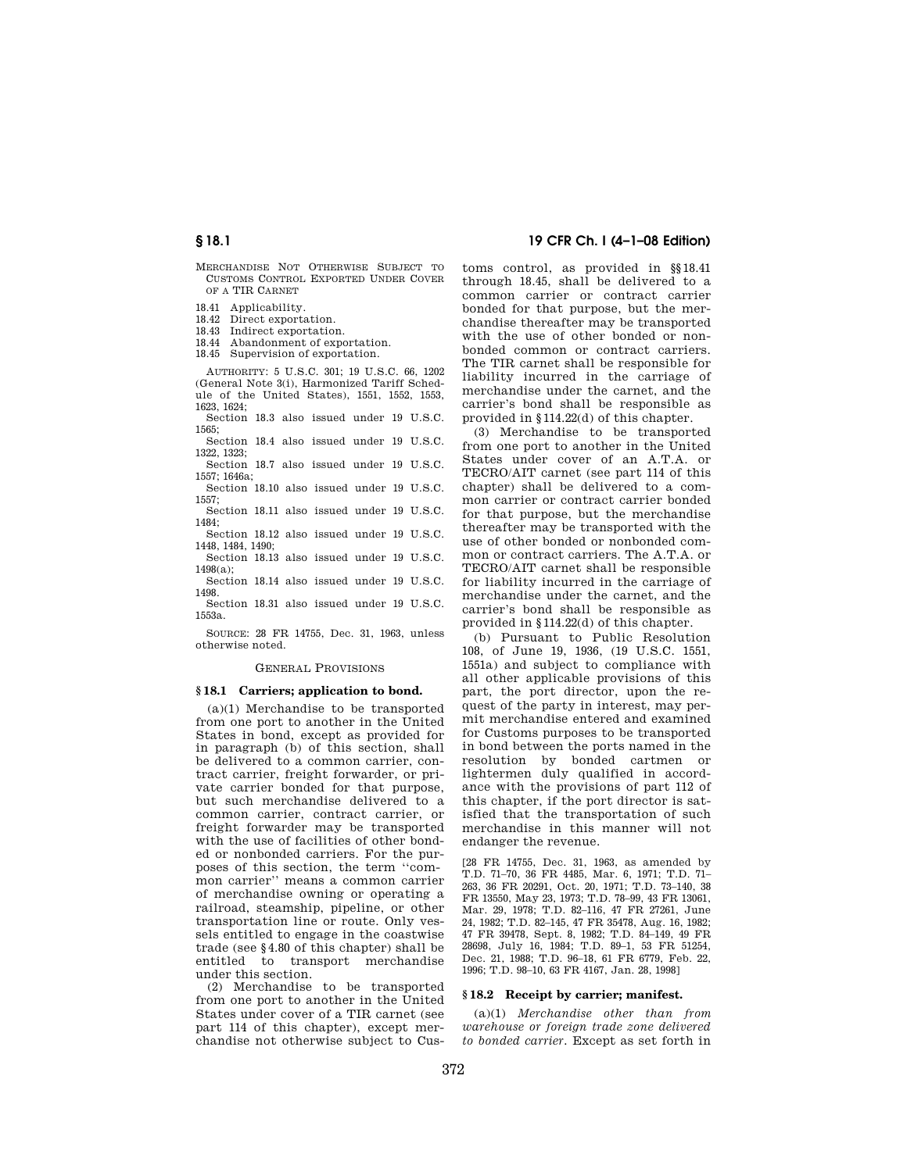MERCHANDISE NOT OTHERWISE SUBJECT TO CUSTOMS CONTROL EXPORTED UNDER COVER OF A TIR CARNET

18.41 Applicability.

18.42 Direct exportation.

18.43 Indirect exportation.

18.44 Abandonment of exportation.

18.45 Supervision of exportation.

AUTHORITY: 5 U.S.C. 301; 19 U.S.C. 66, 1202 (General Note 3(i), Harmonized Tariff Schedule of the United States), 1551, 1552, 1553, 1623, 1624;

Section 18.3 also issued under 19 U.S.C. 1565;

Section 18.4 also issued under 19 U.S.C. 1322, 1323;

Section 18.7 also issued under 19 U.S.C. 1557; 1646a;

Section 18.10 also issued under 19 U.S.C. 1557;

Section 18.11 also issued under 19 U.S.C. 1484;

Section 18.12 also issued under 19 U.S.C. 1448, 1484, 1490;

Section 18.13 also issued under 19 U.S.C.  $1498(a)$ 

Section 18.14 also issued under 19 U.S.C. 1498.

Section 18.31 also issued under 19 U.S.C. 1553a.

SOURCE: 28 FR 14755, Dec. 31, 1963, unless otherwise noted.

## GENERAL PROVISIONS

## **§ 18.1 Carriers; application to bond.**

(a)(1) Merchandise to be transported from one port to another in the United States in bond, except as provided for in paragraph (b) of this section, shall be delivered to a common carrier, contract carrier, freight forwarder, or private carrier bonded for that purpose, but such merchandise delivered to a common carrier, contract carrier, or freight forwarder may be transported with the use of facilities of other bonded or nonbonded carriers. For the purposes of this section, the term ''common carrier'' means a common carrier of merchandise owning or operating a railroad, steamship, pipeline, or other transportation line or route. Only vessels entitled to engage in the coastwise trade (see §4.80 of this chapter) shall be entitled to transport merchandise under this section.

(2) Merchandise to be transported from one port to another in the United States under cover of a TIR carnet (see part 114 of this chapter), except merchandise not otherwise subject to Cus-

# **§ 18.1 19 CFR Ch. I (4–1–08 Edition)**

toms control, as provided in §§18.41 through 18.45, shall be delivered to a common carrier or contract carrier bonded for that purpose, but the merchandise thereafter may be transported with the use of other bonded or nonbonded common or contract carriers. The TIR carnet shall be responsible for liability incurred in the carriage of merchandise under the carnet, and the carrier's bond shall be responsible as provided in §114.22(d) of this chapter.

(3) Merchandise to be transported from one port to another in the United States under cover of an A.T.A. or TECRO/AIT carnet (see part 114 of this chapter) shall be delivered to a common carrier or contract carrier bonded for that purpose, but the merchandise thereafter may be transported with the use of other bonded or nonbonded common or contract carriers. The A.T.A. or TECRO/AIT carnet shall be responsible for liability incurred in the carriage of merchandise under the carnet, and the carrier's bond shall be responsible as provided in §114.22(d) of this chapter.

(b) Pursuant to Public Resolution 108, of June 19, 1936, (19 U.S.C. 1551, 1551a) and subject to compliance with all other applicable provisions of this part, the port director, upon the request of the party in interest, may permit merchandise entered and examined for Customs purposes to be transported in bond between the ports named in the resolution by bonded cartmen or lightermen duly qualified in accordance with the provisions of part 112 of this chapter, if the port director is satisfied that the transportation of such merchandise in this manner will not endanger the revenue.

[28 FR 14755, Dec. 31, 1963, as amended by T.D. 71–70, 36 FR 4485, Mar. 6, 1971; T.D. 71– 263, 36 FR 20291, Oct. 20, 1971; T.D. 73–140, 38 FR 13550, May 23, 1973; T.D. 78–99, 43 FR 13061, Mar. 29, 1978; T.D. 82–116, 47 FR 27261, June 24, 1982; T.D. 82–145, 47 FR 35478, Aug. 16, 1982; 47 FR 39478, Sept. 8, 1982; T.D. 84–149, 49 FR 28698, July 16, 1984; T.D. 89–1, 53 FR 51254, Dec. 21, 1988; T.D. 96–18, 61 FR 6779, Feb. 22, 1996; T.D. 98–10, 63 FR 4167, Jan. 28, 1998]

## **§ 18.2 Receipt by carrier; manifest.**

(a)(1) *Merchandise other than from warehouse or foreign trade zone delivered to bonded carrier.* Except as set forth in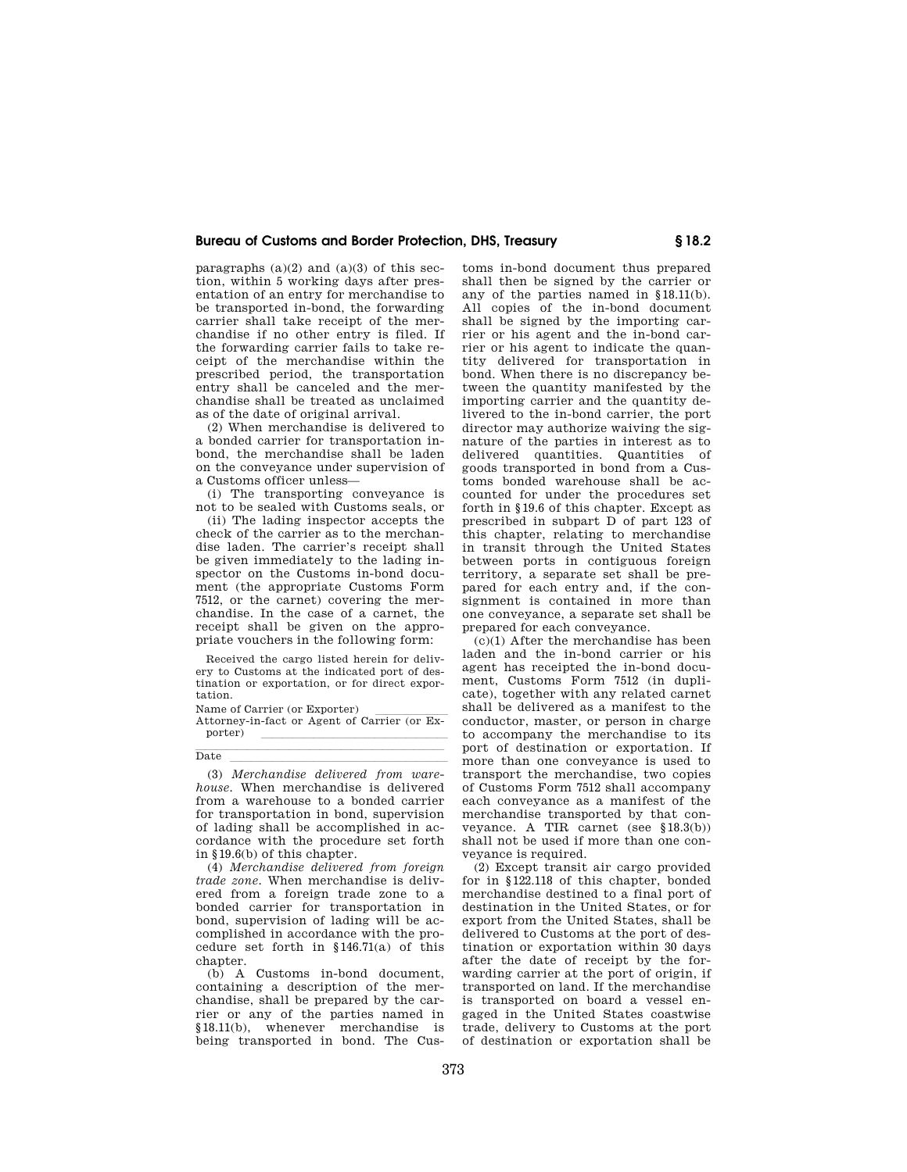paragraphs  $(a)(2)$  and  $(a)(3)$  of this section, within 5 working days after presentation of an entry for merchandise to be transported in-bond, the forwarding carrier shall take receipt of the merchandise if no other entry is filed. If the forwarding carrier fails to take receipt of the merchandise within the prescribed period, the transportation entry shall be canceled and the merchandise shall be treated as unclaimed as of the date of original arrival.

(2) When merchandise is delivered to a bonded carrier for transportation inbond, the merchandise shall be laden on the conveyance under supervision of a Customs officer unless—

(i) The transporting conveyance is not to be sealed with Customs seals, or

(ii) The lading inspector accepts the check of the carrier as to the merchandise laden. The carrier's receipt shall be given immediately to the lading inspector on the Customs in-bond document (the appropriate Customs Form 7512, or the carnet) covering the merchandise. In the case of a carnet, the receipt shall be given on the appropriate vouchers in the following form:

Received the cargo listed herein for delivery to Customs at the indicated port of destination or exportation, or for direct exportation.

Name of Carrier (or Exporter)<br>Attorney-in-fact or Agent of Carrier (or Exporter) <u>laterature</u>

**Date** 

Date lllllllllllllllllllll (3) *Merchandise delivered from warehouse.* When merchandise is delivered from a warehouse to a bonded carrier for transportation in bond, supervision of lading shall be accomplished in accordance with the procedure set forth in §19.6(b) of this chapter.

(4) *Merchandise delivered from foreign trade zone.* When merchandise is delivered from a foreign trade zone to a bonded carrier for transportation in bond, supervision of lading will be accomplished in accordance with the procedure set forth in §146.71(a) of this chapter.

(b) A Customs in-bond document, containing a description of the merchandise, shall be prepared by the carrier or any of the parties named in §18.11(b), whenever merchandise is being transported in bond. The Cus-

toms in-bond document thus prepared shall then be signed by the carrier or any of the parties named in §18.11(b). All copies of the in-bond document shall be signed by the importing carrier or his agent and the in-bond carrier or his agent to indicate the quantity delivered for transportation in bond. When there is no discrepancy between the quantity manifested by the importing carrier and the quantity delivered to the in-bond carrier, the port director may authorize waiving the signature of the parties in interest as to delivered quantities. Quantities of goods transported in bond from a Customs bonded warehouse shall be accounted for under the procedures set forth in §19.6 of this chapter. Except as prescribed in subpart D of part 123 of this chapter, relating to merchandise in transit through the United States between ports in contiguous foreign territory, a separate set shall be prepared for each entry and, if the consignment is contained in more than one conveyance, a separate set shall be prepared for each conveyance.

 $(c)(1)$  After the merchandise has been laden and the in-bond carrier or his agent has receipted the in-bond document, Customs Form 7512 (in duplicate), together with any related carnet shall be delivered as a manifest to the conductor, master, or person in charge to accompany the merchandise to its port of destination or exportation. If more than one conveyance is used to transport the merchandise, two copies of Customs Form 7512 shall accompany each conveyance as a manifest of the merchandise transported by that conveyance. A TIR carnet (see §18.3(b)) shall not be used if more than one conveyance is required.

(2) Except transit air cargo provided for in §122.118 of this chapter, bonded merchandise destined to a final port of destination in the United States, or for export from the United States, shall be delivered to Customs at the port of destination or exportation within 30 days after the date of receipt by the forwarding carrier at the port of origin, if transported on land. If the merchandise is transported on board a vessel engaged in the United States coastwise trade, delivery to Customs at the port of destination or exportation shall be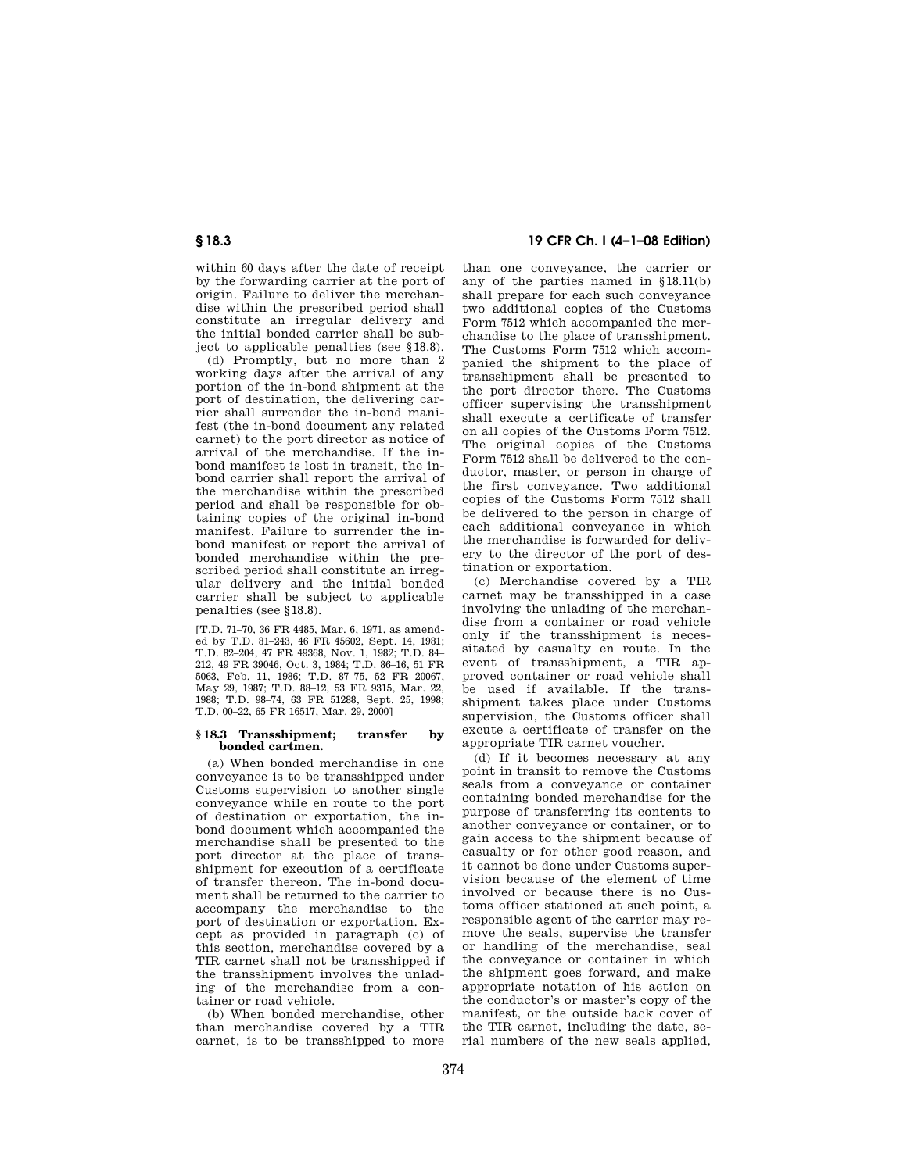within 60 days after the date of receipt by the forwarding carrier at the port of origin. Failure to deliver the merchandise within the prescribed period shall constitute an irregular delivery and the initial bonded carrier shall be subject to applicable penalties (see §18.8).

(d) Promptly, but no more than 2 working days after the arrival of any portion of the in-bond shipment at the port of destination, the delivering carrier shall surrender the in-bond manifest (the in-bond document any related carnet) to the port director as notice of arrival of the merchandise. If the inbond manifest is lost in transit, the inbond carrier shall report the arrival of the merchandise within the prescribed period and shall be responsible for obtaining copies of the original in-bond manifest. Failure to surrender the inbond manifest or report the arrival of bonded merchandise within the prescribed period shall constitute an irregular delivery and the initial bonded carrier shall be subject to applicable penalties (see §18.8).

[T.D. 71–70, 36 FR 4485, Mar. 6, 1971, as amended by T.D. 81–243, 46 FR 45602, Sept. 14, 1981; T.D. 82–204, 47 FR 49368, Nov. 1, 1982; T.D. 84– 212, 49 FR 39046, Oct. 3, 1984; T.D. 86–16, 51 FR 5063, Feb. 11, 1986; T.D. 87–75, 52 FR 20067, May 29, 1987; T.D. 88–12, 53 FR 9315, Mar. 22, 1988; T.D. 98–74, 63 FR 51288, Sept. 25, 1998; T.D. 00–22, 65 FR 16517, Mar. 29, 2000]

## **§ 18.3 Transshipment; transfer by bonded cartmen.**

(a) When bonded merchandise in one conveyance is to be transshipped under Customs supervision to another single conveyance while en route to the port of destination or exportation, the inbond document which accompanied the merchandise shall be presented to the port director at the place of transshipment for execution of a certificate of transfer thereon. The in-bond document shall be returned to the carrier to accompany the merchandise to the port of destination or exportation. Except as provided in paragraph (c) of this section, merchandise covered by a TIR carnet shall not be transshipped if the transshipment involves the unlading of the merchandise from a container or road vehicle.

(b) When bonded merchandise, other than merchandise covered by a TIR carnet, is to be transshipped to more

# **§ 18.3 19 CFR Ch. I (4–1–08 Edition)**

than one conveyance, the carrier or any of the parties named in §18.11(b) shall prepare for each such conveyance two additional copies of the Customs Form 7512 which accompanied the merchandise to the place of transshipment. The Customs Form 7512 which accompanied the shipment to the place of transshipment shall be presented to the port director there. The Customs officer supervising the transshipment shall execute a certificate of transfer on all copies of the Customs Form 7512. The original copies of the Customs Form 7512 shall be delivered to the conductor, master, or person in charge of the first conveyance. Two additional copies of the Customs Form 7512 shall be delivered to the person in charge of each additional conveyance in which the merchandise is forwarded for delivery to the director of the port of destination or exportation.

(c) Merchandise covered by a TIR carnet may be transshipped in a case involving the unlading of the merchandise from a container or road vehicle only if the transshipment is necessitated by casualty en route. In the event of transshipment, a TIR approved container or road vehicle shall be used if available. If the transshipment takes place under Customs supervision, the Customs officer shall excute a certificate of transfer on the appropriate TIR carnet voucher.

(d) If it becomes necessary at any point in transit to remove the Customs seals from a conveyance or container containing bonded merchandise for the purpose of transferring its contents to another conveyance or container, or to gain access to the shipment because of casualty or for other good reason, and it cannot be done under Customs supervision because of the element of time involved or because there is no Customs officer stationed at such point, a responsible agent of the carrier may remove the seals, supervise the transfer or handling of the merchandise, seal the conveyance or container in which the shipment goes forward, and make appropriate notation of his action on the conductor's or master's copy of the manifest, or the outside back cover of the TIR carnet, including the date, serial numbers of the new seals applied,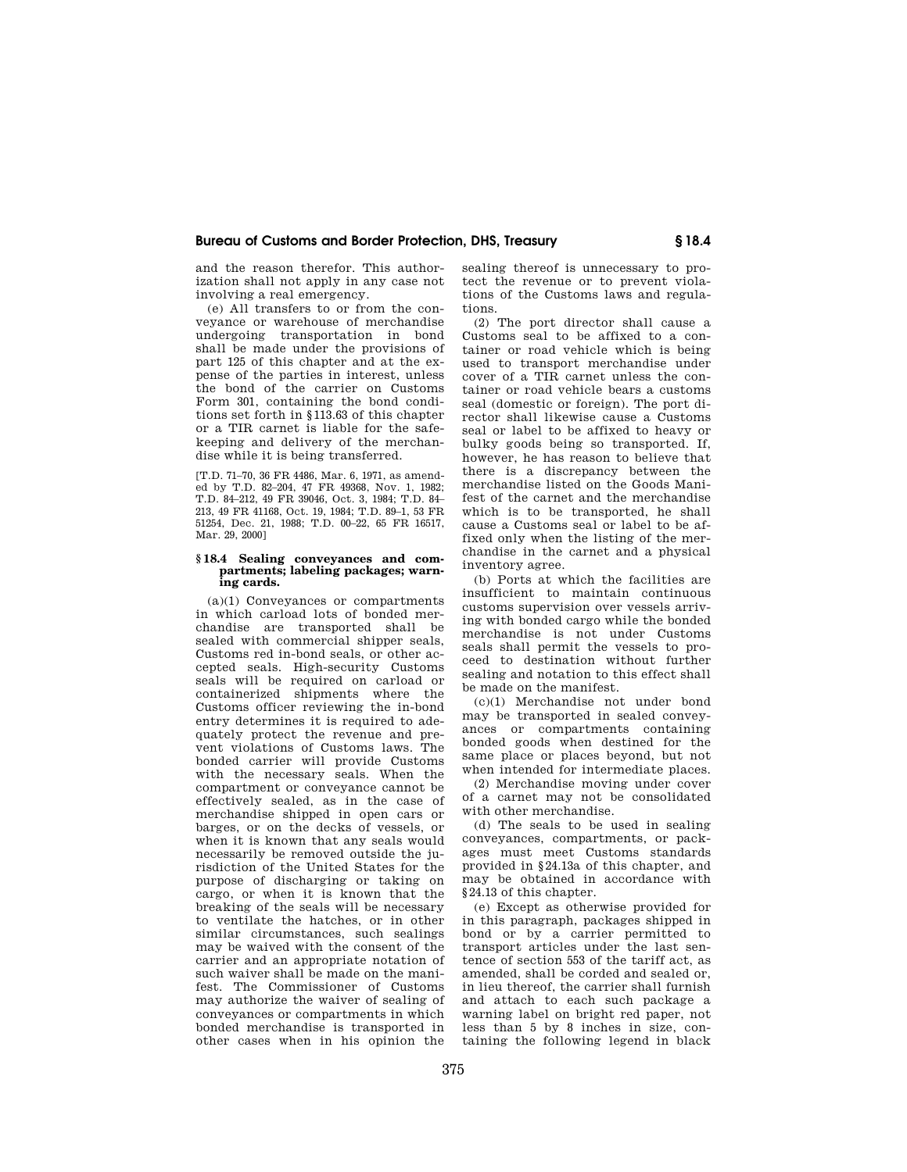and the reason therefor. This authorization shall not apply in any case not involving a real emergency.

(e) All transfers to or from the conveyance or warehouse of merchandise undergoing transportation in bond shall be made under the provisions of part 125 of this chapter and at the expense of the parties in interest, unless the bond of the carrier on Customs Form 301, containing the bond conditions set forth in §113.63 of this chapter or a TIR carnet is liable for the safekeeping and delivery of the merchandise while it is being transferred.

[T.D. 71–70, 36 FR 4486, Mar. 6, 1971, as amended by T.D. 82–204, 47 FR 49368, Nov. 1, 1982; T.D. 84–212, 49 FR 39046, Oct. 3, 1984; T.D. 84– 213, 49 FR 41168, Oct. 19, 1984; T.D. 89–1, 53 FR 51254, Dec. 21, 1988; T.D. 00–22, 65 FR 16517, Mar. 29, 2000]

## **§ 18.4 Sealing conveyances and compartments; labeling packages; warning cards.**

(a)(1) Conveyances or compartments in which carload lots of bonded merchandise are transported shall be sealed with commercial shipper seals, Customs red in-bond seals, or other accepted seals. High-security Customs seals will be required on carload or containerized shipments where the Customs officer reviewing the in-bond entry determines it is required to adequately protect the revenue and prevent violations of Customs laws. The bonded carrier will provide Customs with the necessary seals. When the compartment or conveyance cannot be effectively sealed, as in the case of merchandise shipped in open cars or barges, or on the decks of vessels, or when it is known that any seals would necessarily be removed outside the jurisdiction of the United States for the purpose of discharging or taking on cargo, or when it is known that the breaking of the seals will be necessary to ventilate the hatches, or in other similar circumstances, such sealings may be waived with the consent of the carrier and an appropriate notation of such waiver shall be made on the manifest. The Commissioner of Customs may authorize the waiver of sealing of conveyances or compartments in which bonded merchandise is transported in other cases when in his opinion the

sealing thereof is unnecessary to protect the revenue or to prevent violations of the Customs laws and regulations.

(2) The port director shall cause a Customs seal to be affixed to a container or road vehicle which is being used to transport merchandise under cover of a TIR carnet unless the container or road vehicle bears a customs seal (domestic or foreign). The port director shall likewise cause a Customs seal or label to be affixed to heavy or bulky goods being so transported. If, however, he has reason to believe that there is a discrepancy between the merchandise listed on the Goods Manifest of the carnet and the merchandise which is to be transported, he shall cause a Customs seal or label to be affixed only when the listing of the merchandise in the carnet and a physical inventory agree.

(b) Ports at which the facilities are insufficient to maintain continuous customs supervision over vessels arriving with bonded cargo while the bonded merchandise is not under Customs seals shall permit the vessels to proceed to destination without further sealing and notation to this effect shall be made on the manifest.

(c)(1) Merchandise not under bond may be transported in sealed conveyances or compartments containing bonded goods when destined for the same place or places beyond, but not when intended for intermediate places.

(2) Merchandise moving under cover of a carnet may not be consolidated with other merchandise.

(d) The seals to be used in sealing conveyances, compartments, or packages must meet Customs standards provided in §24.13a of this chapter, and may be obtained in accordance with §24.13 of this chapter.

(e) Except as otherwise provided for in this paragraph, packages shipped in bond or by a carrier permitted to transport articles under the last sentence of section 553 of the tariff act, as amended, shall be corded and sealed or, in lieu thereof, the carrier shall furnish and attach to each such package a warning label on bright red paper, not less than 5 by 8 inches in size, containing the following legend in black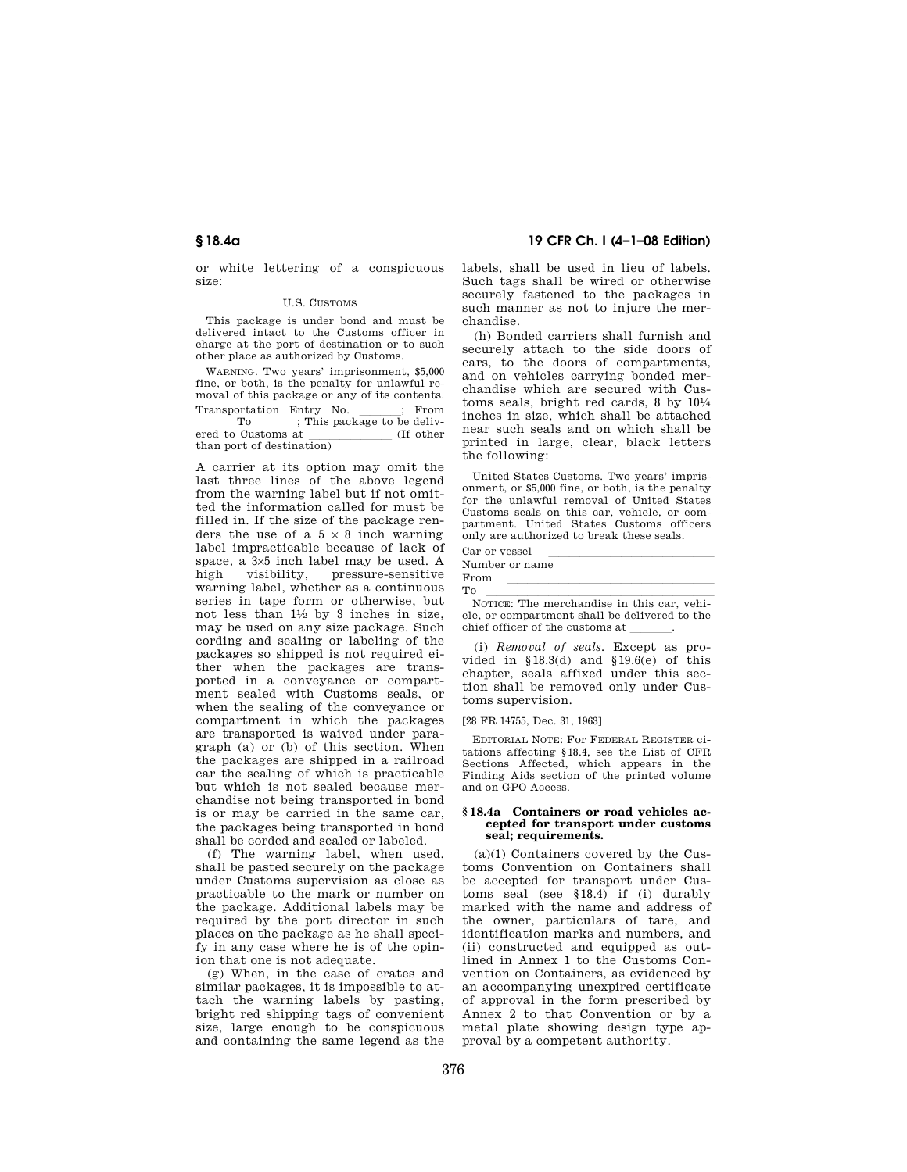or white lettering of a conspicuous size:

## U.S. CUSTOMS

This package is under bond and must be delivered intact to the Customs officer in charge at the port of destination or to such other place as authorized by Customs.

WARNING. Two years' imprisonment, \$5,000 fine, or both, is the penalty for unlawful removal of this package or any of its contents.

Transportation Entry No.  $\frac{\cdot}{\cdot}$  From<br>This package to be deliv- $\frac{10}{\text{pred to Customs at}}$ ; This package to be delivered to Customs at  $\frac{1}{\text{tanh} \cdot \text{tanh} \cdot \text{tanh} \cdot \text{tanh} \cdot \text{tanh} \cdot \text{tanh} \cdot \text{tanh} \cdot \text{tanh} \cdot \text{tanh} \cdot \text{tanh} \cdot \text{tanh} \cdot \text{tanh} \cdot \text{tanh} \cdot \text{tanh} \cdot \text{tanh} \cdot \text{tanh} \cdot \text{tanh} \cdot \text{tanh} \cdot \text{tanh} \cdot \text{tanh} \cdot \text{tanh} \cdot \text{tanh} \cdot \text{tanh} \cdot \text{tanh} \cdot \text{t$ than port of destination)

A carrier at its option may omit the last three lines of the above legend from the warning label but if not omitted the information called for must be filled in. If the size of the package renders the use of a  $5 \times 8$  inch warning label impracticable because of lack of space, a 3×5 inch label may be used. A high visibility, pressure-sensitive warning label, whether as a continuous series in tape form or otherwise, but not less than  $1\frac{1}{2}$  by 3 inches in size. may be used on any size package. Such cording and sealing or labeling of the packages so shipped is not required either when the packages are transported in a conveyance or compartment sealed with Customs seals, or when the sealing of the conveyance or compartment in which the packages are transported is waived under paragraph  $(a)$  or (b) of this section. When the packages are shipped in a railroad car the sealing of which is practicable but which is not sealed because merchandise not being transported in bond is or may be carried in the same car, the packages being transported in bond shall be corded and sealed or labeled.

(f) The warning label, when used, shall be pasted securely on the package under Customs supervision as close as practicable to the mark or number on the package. Additional labels may be required by the port director in such places on the package as he shall specify in any case where he is of the opinion that one is not adequate.

(g) When, in the case of crates and similar packages, it is impossible to attach the warning labels by pasting, bright red shipping tags of convenient size, large enough to be conspicuous and containing the same legend as the

**§ 18.4a 19 CFR Ch. I (4–1–08 Edition)** 

labels, shall be used in lieu of labels. Such tags shall be wired or otherwise securely fastened to the packages in such manner as not to injure the merchandise.

(h) Bonded carriers shall furnish and securely attach to the side doors of cars, to the doors of compartments, and on vehicles carrying bonded merchandise which are secured with Customs seals, bright red cards,  $8 \text{ by } 10\frac{1}{4}$ inches in size, which shall be attached near such seals and on which shall be printed in large, clear, black letters the following:

United States Customs. Two years' imprisonment, or \$5,000 fine, or both, is the penalty for the unlawful removal of United States Customs seals on this car, vehicle, or compartment. United States Customs officers only are authorized to break these seals.

| Car or vessel                              |
|--------------------------------------------|
| Number or name                             |
| From                                       |
| To                                         |
| NOTICE: The merchandise in this car, vehi- |

cle, or compartment shall be delivered to the chief officer of the customs at

(i) *Removal of seals.* Except as provided in  $$18.3(d)$  and  $$19.6(e)$  of this chapter, seals affixed under this section shall be removed only under Customs supervision.

[28 FR 14755, Dec. 31, 1963]

EDITORIAL NOTE: For FEDERAL REGISTER citations affecting §18.4, see the List of CFR Sections Affected, which appears in the Finding Aids section of the printed volume and on GPO Access.

## **§ 18.4a Containers or road vehicles accepted for transport under customs seal; requirements.**

(a)(1) Containers covered by the Customs Convention on Containers shall be accepted for transport under Customs seal (see §18.4) if (i) durably marked with the name and address of the owner, particulars of tare, and identification marks and numbers, and (ii) constructed and equipped as outlined in Annex 1 to the Customs Convention on Containers, as evidenced by an accompanying unexpired certificate of approval in the form prescribed by Annex 2 to that Convention or by a metal plate showing design type approval by a competent authority.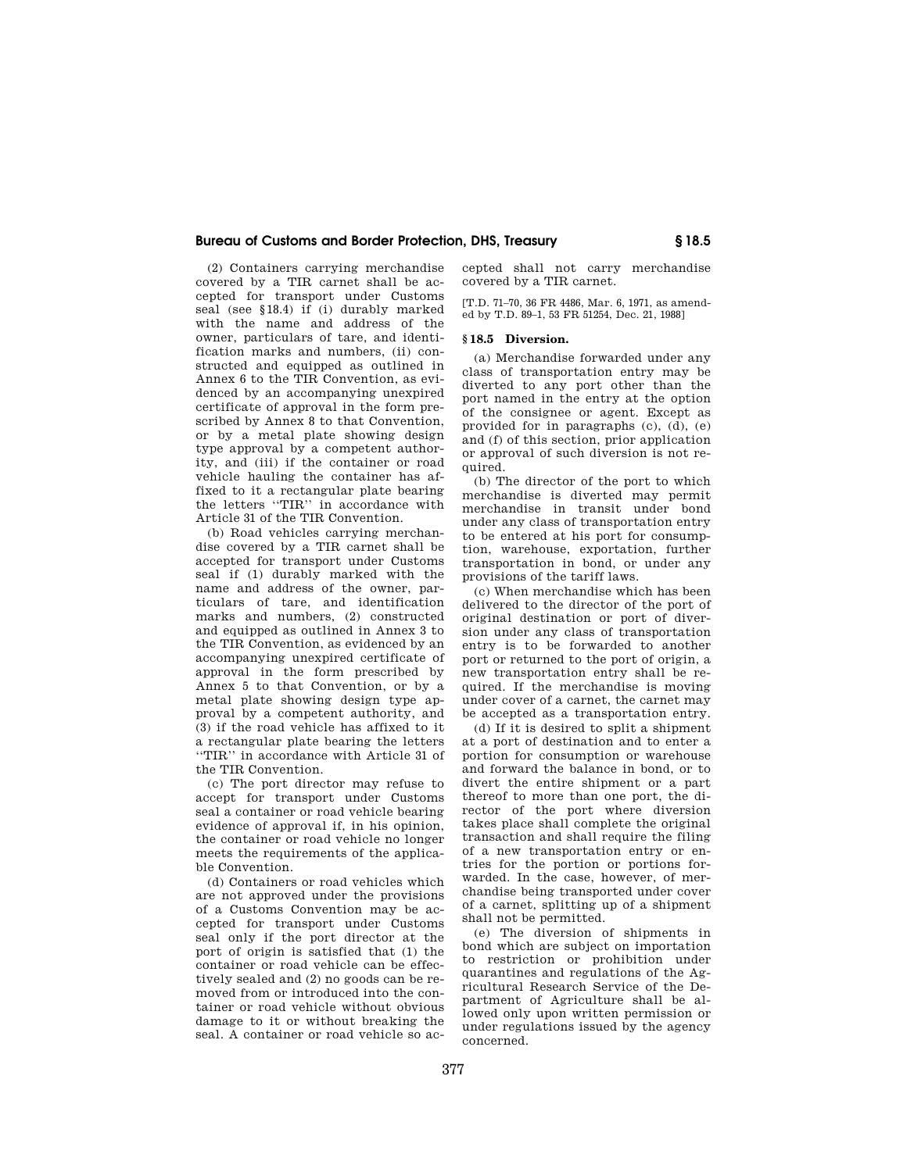(2) Containers carrying merchandise covered by a TIR carnet shall be accepted for transport under Customs seal (see §18.4) if (i) durably marked with the name and address of the owner, particulars of tare, and identification marks and numbers, (ii) constructed and equipped as outlined in Annex 6 to the TIR Convention, as evidenced by an accompanying unexpired certificate of approval in the form prescribed by Annex 8 to that Convention, or by a metal plate showing design type approval by a competent authority, and (iii) if the container or road vehicle hauling the container has affixed to it a rectangular plate bearing the letters ''TIR'' in accordance with Article 31 of the TIR Convention.

(b) Road vehicles carrying merchandise covered by a TIR carnet shall be accepted for transport under Customs seal if (1) durably marked with the name and address of the owner, particulars of tare, and identification marks and numbers, (2) constructed and equipped as outlined in Annex 3 to the TIR Convention, as evidenced by an accompanying unexpired certificate of approval in the form prescribed by Annex 5 to that Convention, or by a metal plate showing design type approval by a competent authority, and (3) if the road vehicle has affixed to it a rectangular plate bearing the letters ''TIR'' in accordance with Article 31 of the TIR Convention.

(c) The port director may refuse to accept for transport under Customs seal a container or road vehicle bearing evidence of approval if, in his opinion, the container or road vehicle no longer meets the requirements of the applicable Convention.

(d) Containers or road vehicles which are not approved under the provisions of a Customs Convention may be accepted for transport under Customs seal only if the port director at the port of origin is satisfied that (1) the container or road vehicle can be effectively sealed and (2) no goods can be removed from or introduced into the container or road vehicle without obvious damage to it or without breaking the seal. A container or road vehicle so accepted shall not carry merchandise covered by a TIR carnet.

[T.D. 71–70, 36 FR 4486, Mar. 6, 1971, as amended by T.D. 89–1, 53 FR 51254, Dec. 21, 1988]

# **§ 18.5 Diversion.**

(a) Merchandise forwarded under any class of transportation entry may be diverted to any port other than the port named in the entry at the option of the consignee or agent. Except as provided for in paragraphs (c), (d), (e) and (f) of this section, prior application or approval of such diversion is not required.

(b) The director of the port to which merchandise is diverted may permit merchandise in transit under bond under any class of transportation entry to be entered at his port for consumption, warehouse, exportation, further transportation in bond, or under any provisions of the tariff laws.

(c) When merchandise which has been delivered to the director of the port of original destination or port of diversion under any class of transportation entry is to be forwarded to another port or returned to the port of origin, a new transportation entry shall be required. If the merchandise is moving under cover of a carnet, the carnet may be accepted as a transportation entry.

(d) If it is desired to split a shipment at a port of destination and to enter a portion for consumption or warehouse and forward the balance in bond, or to divert the entire shipment or a part thereof to more than one port, the director of the port where diversion takes place shall complete the original transaction and shall require the filing of a new transportation entry or entries for the portion or portions forwarded. In the case, however, of merchandise being transported under cover of a carnet, splitting up of a shipment shall not be permitted.

(e) The diversion of shipments in bond which are subject on importation to restriction or prohibition under quarantines and regulations of the Agricultural Research Service of the Department of Agriculture shall be allowed only upon written permission or under regulations issued by the agency concerned.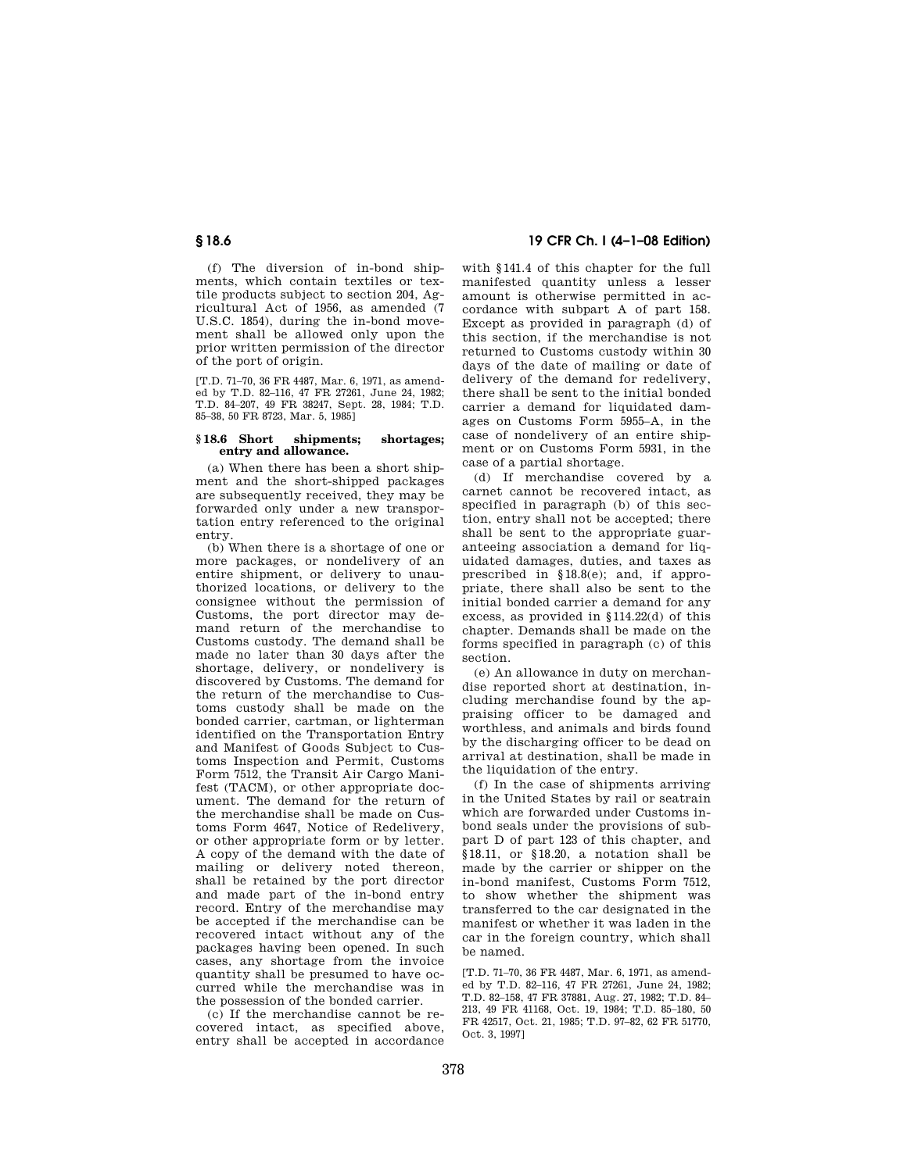(f) The diversion of in-bond shipments, which contain textiles or textile products subject to section 204, Agricultural Act of 1956, as amended (7 U.S.C. 1854), during the in-bond movement shall be allowed only upon the prior written permission of the director of the port of origin.

[T.D. 71–70, 36 FR 4487, Mar. 6, 1971, as amended by T.D. 82–116, 47 FR 27261, June 24, 1982; T.D. 84–207, 49 FR 38247, Sept. 28, 1984; T.D. 85–38, 50 FR 8723, Mar. 5, 1985]

## **§ 18.6 Short shipments; shortages; entry and allowance.**

(a) When there has been a short shipment and the short-shipped packages are subsequently received, they may be forwarded only under a new transportation entry referenced to the original entry.

(b) When there is a shortage of one or more packages, or nondelivery of an entire shipment, or delivery to unauthorized locations, or delivery to the consignee without the permission of Customs, the port director may demand return of the merchandise to Customs custody. The demand shall be made no later than 30 days after the shortage, delivery, or nondelivery is discovered by Customs. The demand for the return of the merchandise to Customs custody shall be made on the bonded carrier, cartman, or lighterman identified on the Transportation Entry and Manifest of Goods Subject to Customs Inspection and Permit, Customs Form 7512, the Transit Air Cargo Manifest (TACM), or other appropriate document. The demand for the return of the merchandise shall be made on Customs Form 4647, Notice of Redelivery, or other appropriate form or by letter. A copy of the demand with the date of mailing or delivery noted thereon, shall be retained by the port director and made part of the in-bond entry record. Entry of the merchandise may be accepted if the merchandise can be recovered intact without any of the packages having been opened. In such cases, any shortage from the invoice quantity shall be presumed to have occurred while the merchandise was in the possession of the bonded carrier.

(c) If the merchandise cannot be recovered intact, as specified above, entry shall be accepted in accordance

# **§ 18.6 19 CFR Ch. I (4–1–08 Edition)**

with §141.4 of this chapter for the full manifested quantity unless a lesser amount is otherwise permitted in accordance with subpart A of part 158. Except as provided in paragraph (d) of this section, if the merchandise is not returned to Customs custody within 30 days of the date of mailing or date of delivery of the demand for redelivery, there shall be sent to the initial bonded carrier a demand for liquidated damages on Customs Form 5955–A, in the case of nondelivery of an entire shipment or on Customs Form 5931, in the case of a partial shortage.

(d) If merchandise covered by a carnet cannot be recovered intact, as specified in paragraph (b) of this section, entry shall not be accepted; there shall be sent to the appropriate guaranteeing association a demand for liquidated damages, duties, and taxes as prescribed in §18.8(e); and, if appropriate, there shall also be sent to the initial bonded carrier a demand for any excess, as provided in §114.22(d) of this chapter. Demands shall be made on the forms specified in paragraph (c) of this section.

(e) An allowance in duty on merchandise reported short at destination, including merchandise found by the appraising officer to be damaged and worthless, and animals and birds found by the discharging officer to be dead on arrival at destination, shall be made in the liquidation of the entry.

(f) In the case of shipments arriving in the United States by rail or seatrain which are forwarded under Customs inbond seals under the provisions of subpart D of part 123 of this chapter, and §18.11, or §18.20, a notation shall be made by the carrier or shipper on the in-bond manifest, Customs Form 7512, to show whether the shipment was transferred to the car designated in the manifest or whether it was laden in the car in the foreign country, which shall be named.

[T.D. 71–70, 36 FR 4487, Mar. 6, 1971, as amended by T.D. 82–116, 47 FR 27261, June 24, 1982; T.D. 82–158, 47 FR 37881, Aug. 27, 1982; T.D. 84– 213, 49 FR 41168, Oct. 19, 1984; T.D. 85–180, 50 FR 42517, Oct. 21, 1985; T.D. 97–82, 62 FR 51770, Oct. 3, 1997]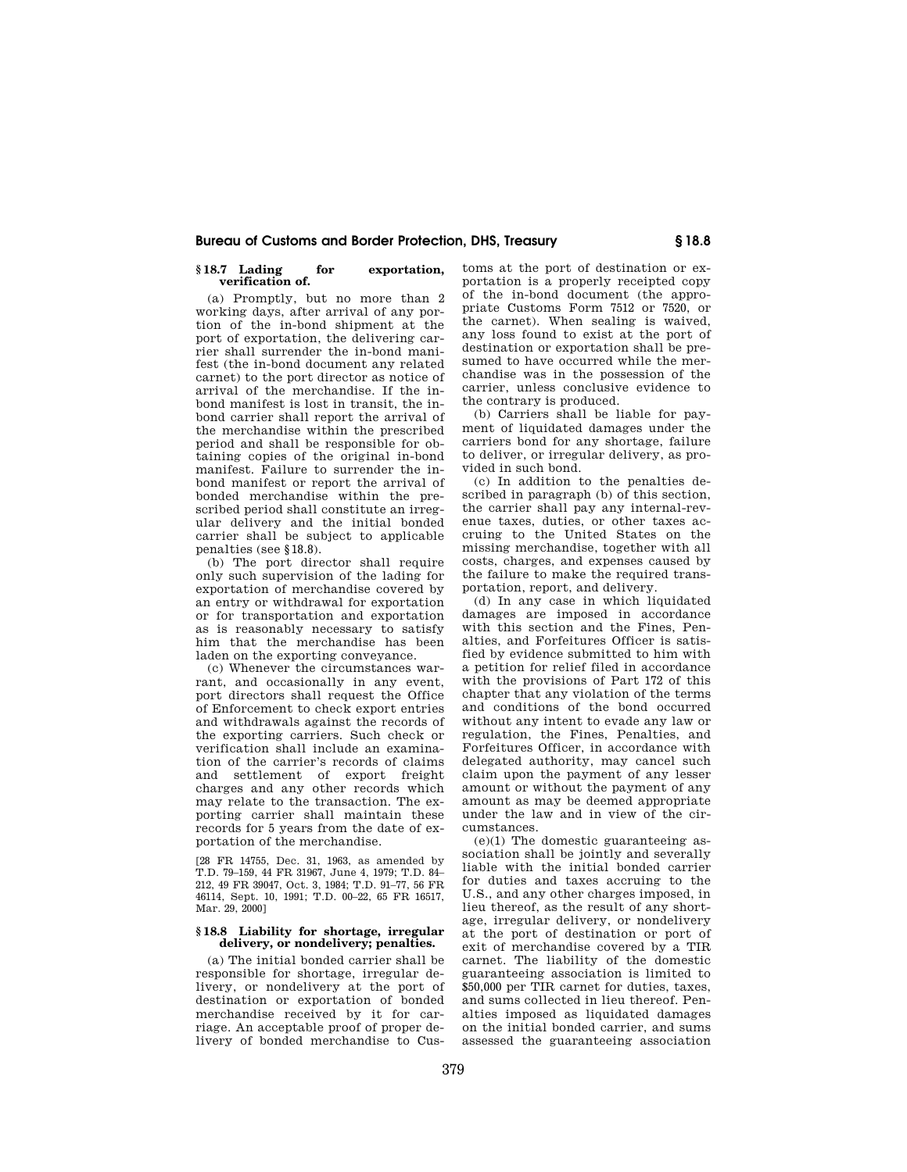## **§ 18.7 Lading for exportation, verification of.**

(a) Promptly, but no more than 2 working days, after arrival of any portion of the in-bond shipment at the port of exportation, the delivering carrier shall surrender the in-bond manifest (the in-bond document any related carnet) to the port director as notice of arrival of the merchandise. If the inbond manifest is lost in transit, the inbond carrier shall report the arrival of the merchandise within the prescribed period and shall be responsible for obtaining copies of the original in-bond manifest. Failure to surrender the inbond manifest or report the arrival of bonded merchandise within the prescribed period shall constitute an irregular delivery and the initial bonded carrier shall be subject to applicable penalties (see §18.8).

(b) The port director shall require only such supervision of the lading for exportation of merchandise covered by an entry or withdrawal for exportation or for transportation and exportation as is reasonably necessary to satisfy him that the merchandise has been laden on the exporting conveyance.

(c) Whenever the circumstances warrant, and occasionally in any event, port directors shall request the Office of Enforcement to check export entries and withdrawals against the records of the exporting carriers. Such check or verification shall include an examination of the carrier's records of claims and settlement of export freight charges and any other records which may relate to the transaction. The exporting carrier shall maintain these records for 5 years from the date of exportation of the merchandise.

[28 FR 14755, Dec. 31, 1963, as amended by T.D. 79–159, 44 FR 31967, June 4, 1979; T.D. 84– 212, 49 FR 39047, Oct. 3, 1984; T.D. 91–77, 56 FR 46114, Sept. 10, 1991; T.D. 00–22, 65 FR 16517, Mar. 29, 2000]

## **§ 18.8 Liability for shortage, irregular delivery, or nondelivery; penalties.**

(a) The initial bonded carrier shall be responsible for shortage, irregular delivery, or nondelivery at the port of destination or exportation of bonded merchandise received by it for carriage. An acceptable proof of proper delivery of bonded merchandise to Customs at the port of destination or exportation is a properly receipted copy of the in-bond document (the appropriate Customs Form 7512 or 7520, or the carnet). When sealing is waived, any loss found to exist at the port of destination or exportation shall be presumed to have occurred while the merchandise was in the possession of the carrier, unless conclusive evidence to the contrary is produced.

(b) Carriers shall be liable for payment of liquidated damages under the carriers bond for any shortage, failure to deliver, or irregular delivery, as provided in such bond.

(c) In addition to the penalties described in paragraph (b) of this section, the carrier shall pay any internal-revenue taxes, duties, or other taxes accruing to the United States on the missing merchandise, together with all costs, charges, and expenses caused by the failure to make the required transportation, report, and delivery.

(d) In any case in which liquidated damages are imposed in accordance with this section and the Fines, Penalties, and Forfeitures Officer is satisfied by evidence submitted to him with a petition for relief filed in accordance with the provisions of Part 172 of this chapter that any violation of the terms and conditions of the bond occurred without any intent to evade any law or regulation, the Fines, Penalties, and Forfeitures Officer, in accordance with delegated authority, may cancel such claim upon the payment of any lesser amount or without the payment of any amount as may be deemed appropriate under the law and in view of the circumstances.

 $(e)(1)$  The domestic guaranteeing association shall be jointly and severally liable with the initial bonded carrier for duties and taxes accruing to the U.S., and any other charges imposed, in lieu thereof, as the result of any shortage, irregular delivery, or nondelivery at the port of destination or port of exit of merchandise covered by a TIR carnet. The liability of the domestic guaranteeing association is limited to \$50,000 per TIR carnet for duties, taxes, and sums collected in lieu thereof. Penalties imposed as liquidated damages on the initial bonded carrier, and sums assessed the guaranteeing association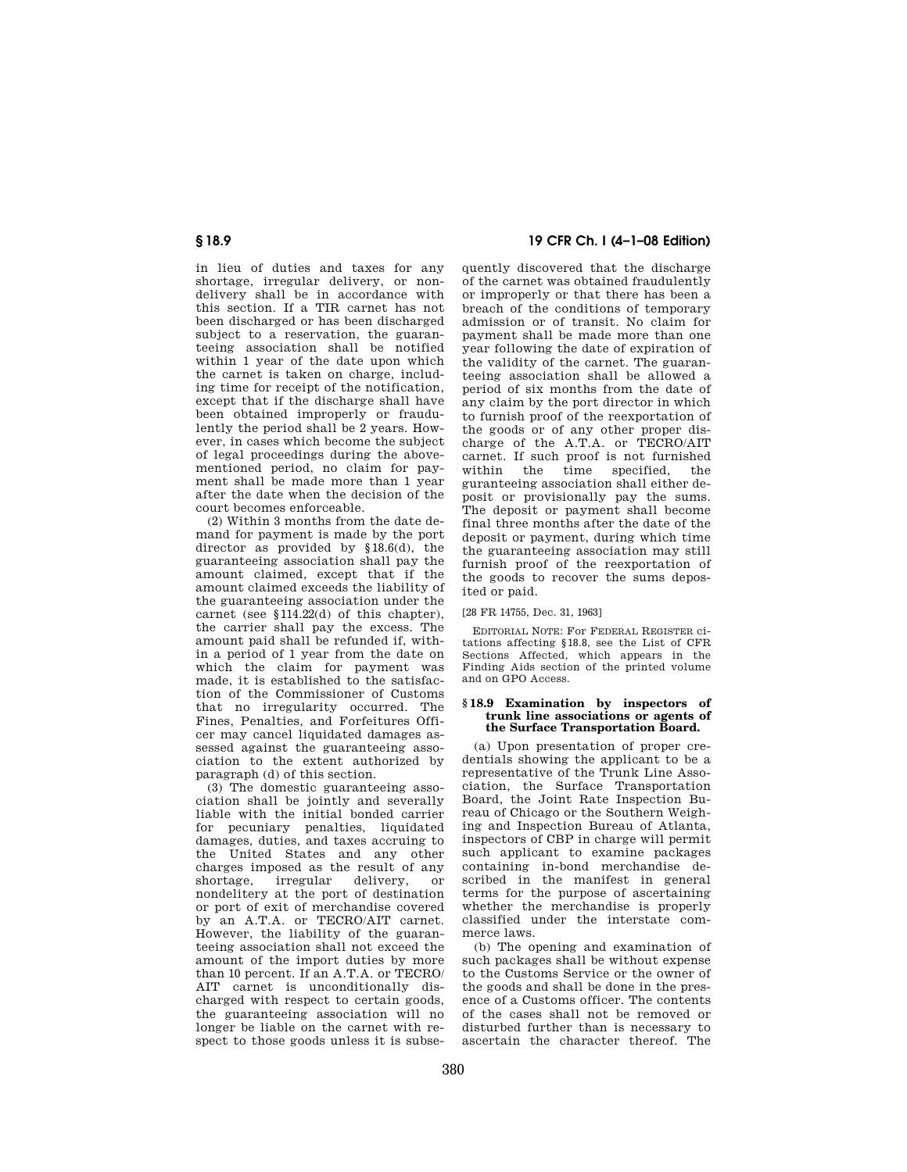in lieu of duties and taxes for any shortage, irregular delivery, or nondelivery shall be in accordance with this section. If a TIR carnet has not been discharged or has been discharged subject to a reservation, the guaranteeing association shall be notified within 1 year of the date upon which the carnet is taken on charge, including time for receipt of the notification, except that if the discharge shall have been obtained improperly or fraudulently the period shall be 2 years. However, in cases which become the subject of legal proceedings during the abovementioned period, no claim for payment shall be made more than 1 year after the date when the decision of the court becomes enforceable.

(2) Within 3 months from the date demand for payment is made by the port director as provided by §18.6(d), the guaranteeing association shall pay the amount claimed, except that if the amount claimed exceeds the liability of the guaranteeing association under the carnet (see §114.22(d) of this chapter), the carrier shall pay the excess. The amount paid shall be refunded if, within a period of 1 year from the date on which the claim for payment was made, it is established to the satisfaction of the Commissioner of Customs that no irregularity occurred. The Fines, Penalties, and Forfeitures Officer may cancel liquidated damages assessed against the guaranteeing association to the extent authorized by paragraph (d) of this section.

(3) The domestic guaranteeing association shall be jointly and severally liable with the initial bonded carrier for pecuniary penalties, liquidated damages, duties, and taxes accruing to the United States and any other charges imposed as the result of any shortage, irregular delivery, or nondelitery at the port of destination or port of exit of merchandise covered by an A.T.A. or TECRO/AIT carnet. However, the liability of the guaranteeing association shall not exceed the amount of the import duties by more than 10 percent. If an A.T.A. or TECRO/ AIT carnet is unconditionally discharged with respect to certain goods, the guaranteeing association will no longer be liable on the carnet with respect to those goods unless it is subse-

**§ 18.9 19 CFR Ch. I (4–1–08 Edition)** 

quently discovered that the discharge of the carnet was obtained fraudulently or improperly or that there has been a breach of the conditions of temporary admission or of transit. No claim for payment shall be made more than one year following the date of expiration of the validity of the carnet. The guaranteeing association shall be allowed a period of six months from the date of any claim by the port director in which to furnish proof of the reexportation of the goods or of any other proper discharge of the A.T.A. or TECRO/AIT carnet. If such proof is not furnished the time specified, the guranteeing association shall either deposit or provisionally pay the sums. The deposit or payment shall become final three months after the date of the deposit or payment, during which time the guaranteeing association may still furnish proof of the reexportation of the goods to recover the sums deposited or paid.

[28 FR 14755, Dec. 31, 1963]

EDITORIAL NOTE: For FEDERAL REGISTER citations affecting §18.8, see the List of CFR Sections Affected, which appears in the Finding Aids section of the printed volume and on GPO Access.

## **§ 18.9 Examination by inspectors of trunk line associations or agents of the Surface Transportation Board.**

(a) Upon presentation of proper credentials showing the applicant to be a representative of the Trunk Line Association, the Surface Transportation Board, the Joint Rate Inspection Bureau of Chicago or the Southern Weighing and Inspection Bureau of Atlanta, inspectors of CBP in charge will permit such applicant to examine packages containing in-bond merchandise described in the manifest in general terms for the purpose of ascertaining whether the merchandise is properly classified under the interstate commerce laws.

(b) The opening and examination of such packages shall be without expense to the Customs Service or the owner of the goods and shall be done in the presence of a Customs officer. The contents of the cases shall not be removed or disturbed further than is necessary to ascertain the character thereof. The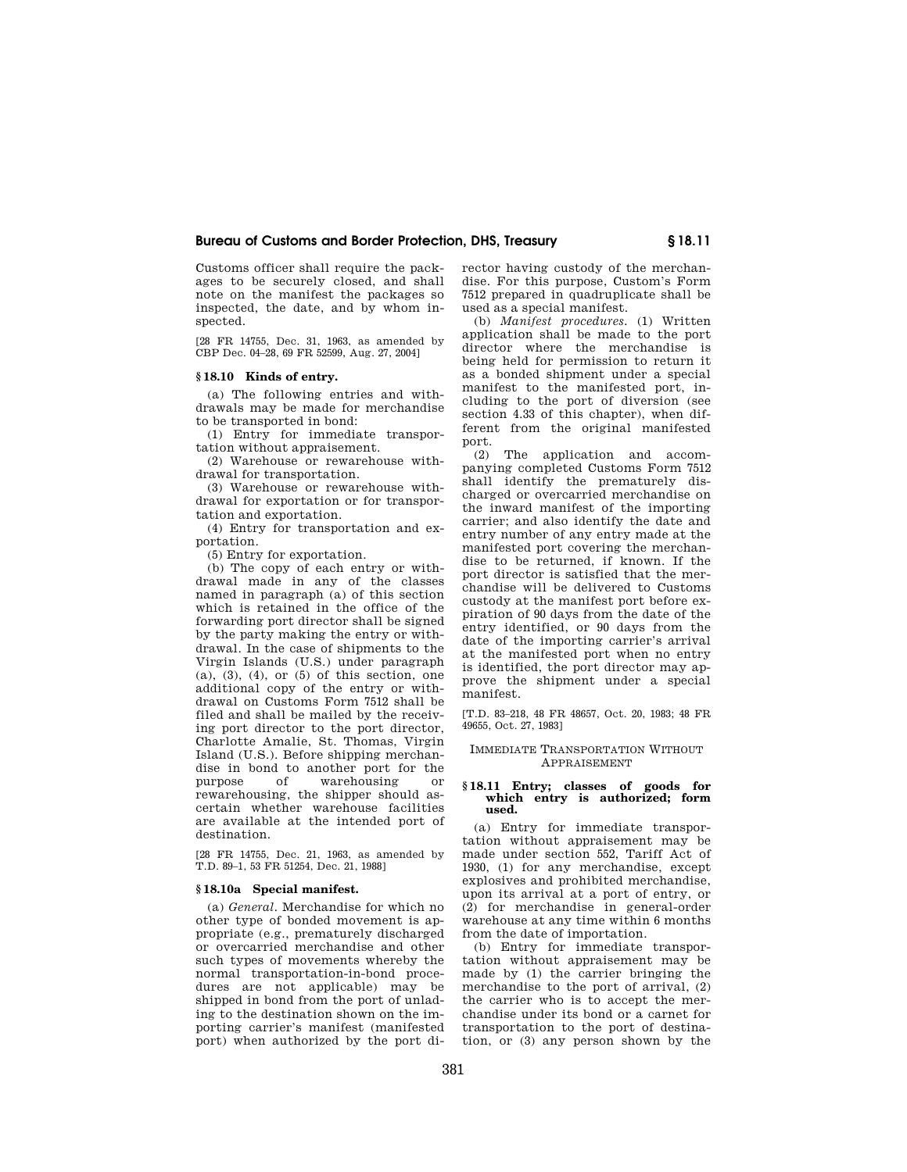Customs officer shall require the packages to be securely closed, and shall note on the manifest the packages so inspected, the date, and by whom inspected.

[28 FR 14755, Dec. 31, 1963, as amended by CBP Dec. 04–28, 69 FR 52599, Aug. 27, 2004]

## **§ 18.10 Kinds of entry.**

(a) The following entries and withdrawals may be made for merchandise to be transported in bond:

(1) Entry for immediate transportation without appraisement.

(2) Warehouse or rewarehouse withdrawal for transportation.

(3) Warehouse or rewarehouse withdrawal for exportation or for transportation and exportation.

(4) Entry for transportation and exportation.

(5) Entry for exportation.

(b) The copy of each entry or withdrawal made in any of the classes named in paragraph (a) of this section which is retained in the office of the forwarding port director shall be signed by the party making the entry or withdrawal. In the case of shipments to the Virgin Islands (U.S.) under paragraph  $(a), (3), (4),$  or  $(5)$  of this section, one additional copy of the entry or withdrawal on Customs Form 7512 shall be filed and shall be mailed by the receiving port director to the port director, Charlotte Amalie, St. Thomas, Virgin Island (U.S.). Before shipping merchandise in bond to another port for the purpose of warehousing or rewarehousing, the shipper should ascertain whether warehouse facilities are available at the intended port of destination.

[28 FR 14755, Dec. 21, 1963, as amended by T.D. 89–1, 53 FR 51254, Dec. 21, 1988]

## **§ 18.10a Special manifest.**

(a) *General.* Merchandise for which no other type of bonded movement is appropriate (e.g., prematurely discharged or overcarried merchandise and other such types of movements whereby the normal transportation-in-bond procedures are not applicable) may be shipped in bond from the port of unlading to the destination shown on the importing carrier's manifest (manifested port) when authorized by the port director having custody of the merchandise. For this purpose, Custom's Form 7512 prepared in quadruplicate shall be used as a special manifest.

(b) *Manifest procedures.* (1) Written application shall be made to the port director where the merchandise is being held for permission to return it as a bonded shipment under a special manifest to the manifested port, including to the port of diversion (see section 4.33 of this chapter), when different from the original manifested port.

(2) The application and accompanying completed Customs Form 7512 shall identify the prematurely discharged or overcarried merchandise on the inward manifest of the importing carrier; and also identify the date and entry number of any entry made at the manifested port covering the merchandise to be returned, if known. If the port director is satisfied that the merchandise will be delivered to Customs custody at the manifest port before expiration of 90 days from the date of the entry identified, or 90 days from the date of the importing carrier's arrival at the manifested port when no entry is identified, the port director may approve the shipment under a special manifest.

[T.D. 83–218, 48 FR 48657, Oct. 20, 1983; 48 FR 49655, Oct. 27, 1983]

# IMMEDIATE TRANSPORTATION WITHOUT APPRAISEMENT

## **§ 18.11 Entry; classes of goods for which entry is authorized; form used.**

(a) Entry for immediate transportation without appraisement may be made under section 552, Tariff Act of 1930, (1) for any merchandise, except explosives and prohibited merchandise, upon its arrival at a port of entry, or (2) for merchandise in general-order warehouse at any time within 6 months from the date of importation.

(b) Entry for immediate transportation without appraisement may be made by (1) the carrier bringing the merchandise to the port of arrival, (2) the carrier who is to accept the merchandise under its bond or a carnet for transportation to the port of destination, or (3) any person shown by the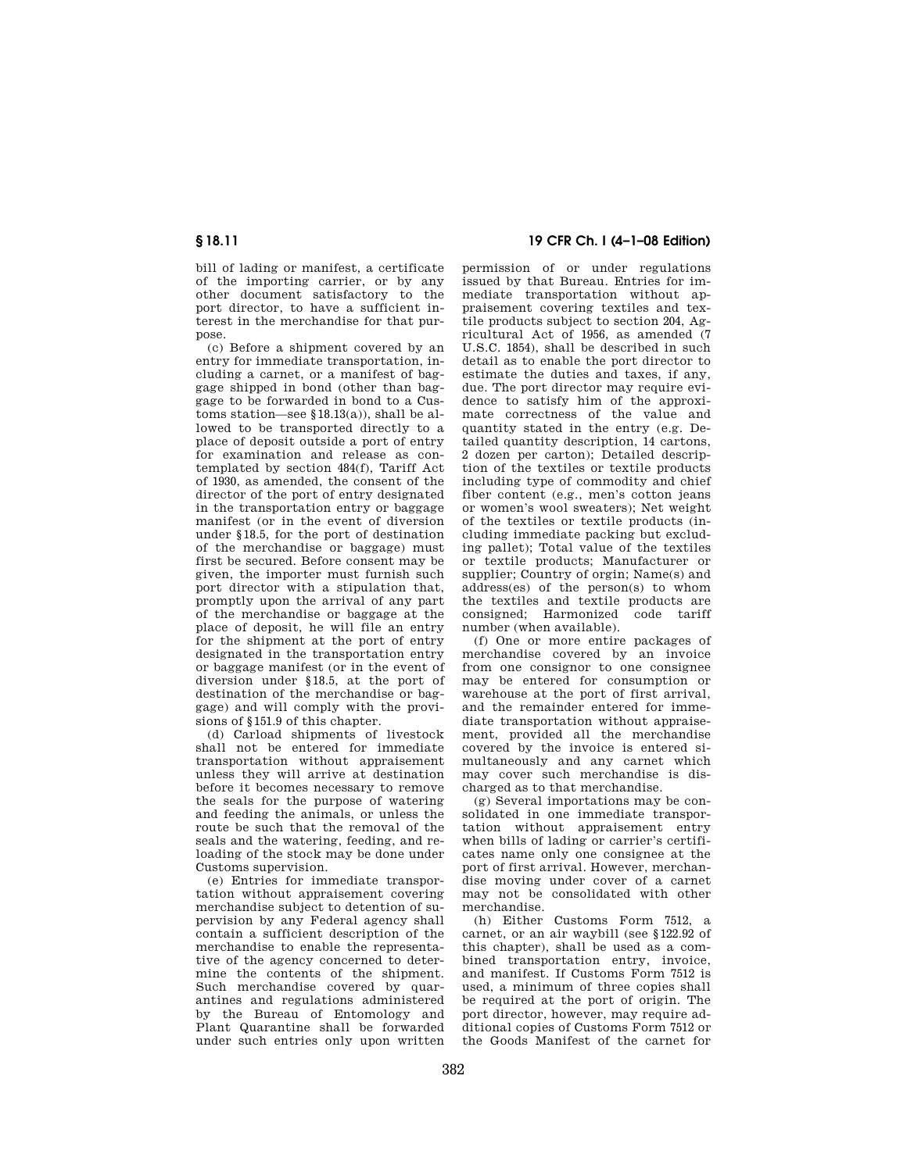bill of lading or manifest, a certificate of the importing carrier, or by any other document satisfactory to the port director, to have a sufficient interest in the merchandise for that purpose.

(c) Before a shipment covered by an entry for immediate transportation, including a carnet, or a manifest of baggage shipped in bond (other than baggage to be forwarded in bond to a Customs station—see §18.13(a)), shall be allowed to be transported directly to a place of deposit outside a port of entry for examination and release as contemplated by section 484(f), Tariff Act of 1930, as amended, the consent of the director of the port of entry designated in the transportation entry or baggage manifest (or in the event of diversion under §18.5, for the port of destination of the merchandise or baggage) must first be secured. Before consent may be given, the importer must furnish such port director with a stipulation that, promptly upon the arrival of any part of the merchandise or baggage at the place of deposit, he will file an entry for the shipment at the port of entry designated in the transportation entry or baggage manifest (or in the event of diversion under §18.5, at the port of destination of the merchandise or baggage) and will comply with the provisions of §151.9 of this chapter.

(d) Carload shipments of livestock shall not be entered for immediate transportation without appraisement unless they will arrive at destination before it becomes necessary to remove the seals for the purpose of watering and feeding the animals, or unless the route be such that the removal of the seals and the watering, feeding, and reloading of the stock may be done under Customs supervision.

(e) Entries for immediate transportation without appraisement covering merchandise subject to detention of supervision by any Federal agency shall contain a sufficient description of the merchandise to enable the representative of the agency concerned to determine the contents of the shipment. Such merchandise covered by quarantines and regulations administered by the Bureau of Entomology and Plant Quarantine shall be forwarded under such entries only upon written

# **§ 18.11 19 CFR Ch. I (4–1–08 Edition)**

permission of or under regulations issued by that Bureau. Entries for immediate transportation without appraisement covering textiles and textile products subject to section 204, Agricultural Act of 1956, as amended (7 U.S.C. 1854), shall be described in such detail as to enable the port director to estimate the duties and taxes, if any, due. The port director may require evidence to satisfy him of the approximate correctness of the value and quantity stated in the entry (e.g. Detailed quantity description, 14 cartons, 2 dozen per carton); Detailed description of the textiles or textile products including type of commodity and chief fiber content (e.g., men's cotton jeans or women's wool sweaters); Net weight of the textiles or textile products (including immediate packing but excluding pallet); Total value of the textiles or textile products; Manufacturer or supplier; Country of orgin; Name(s) and address(es) of the person(s) to whom the textiles and textile products are consigned; Harmonized code tariff number (when available).

(f) One or more entire packages of merchandise covered by an invoice from one consignor to one consignee may be entered for consumption or warehouse at the port of first arrival, and the remainder entered for immediate transportation without appraisement, provided all the merchandise covered by the invoice is entered simultaneously and any carnet which may cover such merchandise is discharged as to that merchandise.

(g) Several importations may be consolidated in one immediate transportation without appraisement entry when bills of lading or carrier's certificates name only one consignee at the port of first arrival. However, merchandise moving under cover of a carnet may not be consolidated with other merchandise.

(h) Either Customs Form 7512, a carnet, or an air waybill (see §122.92 of this chapter), shall be used as a combined transportation entry, invoice, and manifest. If Customs Form 7512 is used, a minimum of three copies shall be required at the port of origin. The port director, however, may require additional copies of Customs Form 7512 or the Goods Manifest of the carnet for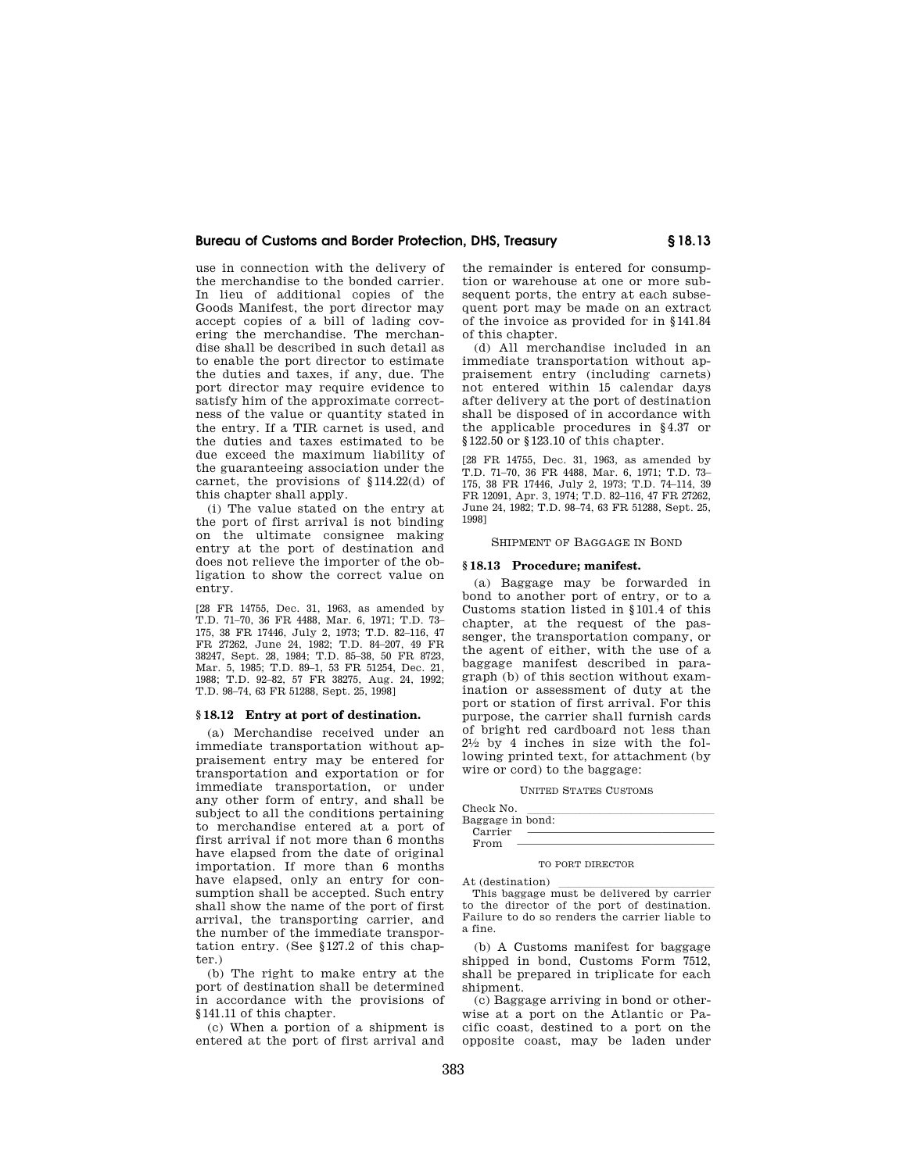use in connection with the delivery of the merchandise to the bonded carrier. In lieu of additional copies of the Goods Manifest, the port director may accept copies of a bill of lading covering the merchandise. The merchandise shall be described in such detail as to enable the port director to estimate the duties and taxes, if any, due. The port director may require evidence to satisfy him of the approximate correctness of the value or quantity stated in the entry. If a TIR carnet is used, and the duties and taxes estimated to be due exceed the maximum liability of the guaranteeing association under the carnet, the provisions of §114.22(d) of this chapter shall apply.

(i) The value stated on the entry at the port of first arrival is not binding on the ultimate consignee making entry at the port of destination and does not relieve the importer of the obligation to show the correct value on entry.

[28 FR 14755, Dec. 31, 1963, as amended by T.D. 71–70, 36 FR 4488, Mar. 6, 1971; T.D. 73– 175, 38 FR 17446, July 2, 1973; T.D. 82–116, 47 FR 27262, June 24, 1982; T.D. 84–207, 49 FR 38247, Sept. 28, 1984; T.D. 85–38, 50 FR 8723, Mar. 5, 1985; T.D. 89–1, 53 FR 51254, Dec. 21, 1988; T.D. 92–82, 57 FR 38275, Aug. 24, 1992; T.D. 98–74, 63 FR 51288, Sept. 25, 1998]

## **§ 18.12 Entry at port of destination.**

(a) Merchandise received under an immediate transportation without appraisement entry may be entered for transportation and exportation or for immediate transportation, or under any other form of entry, and shall be subject to all the conditions pertaining to merchandise entered at a port of first arrival if not more than 6 months have elapsed from the date of original importation. If more than 6 months have elapsed, only an entry for consumption shall be accepted. Such entry shall show the name of the port of first arrival, the transporting carrier, and the number of the immediate transportation entry. (See §127.2 of this chapter.)

(b) The right to make entry at the port of destination shall be determined in accordance with the provisions of §141.11 of this chapter.

(c) When a portion of a shipment is entered at the port of first arrival and the remainder is entered for consumption or warehouse at one or more subsequent ports, the entry at each subsequent port may be made on an extract of the invoice as provided for in §141.84 of this chapter.

(d) All merchandise included in an immediate transportation without appraisement entry (including carnets) not entered within 15 calendar days after delivery at the port of destination shall be disposed of in accordance with the applicable procedures in §4.37 or §122.50 or §123.10 of this chapter.

[28 FR 14755, Dec. 31, 1963, as amended by T.D. 71–70, 36 FR 4488, Mar. 6, 1971; T.D. 73– 175, 38 FR 17446, July 2, 1973; T.D. 74–114, 39 FR 12091, Apr. 3, 1974; T.D. 82–116, 47 FR 27262, June 24, 1982; T.D. 98–74, 63 FR 51288, Sept. 25, 1998]

## SHIPMENT OF BAGGAGE IN BOND

## **§ 18.13 Procedure; manifest.**

(a) Baggage may be forwarded in bond to another port of entry, or to a Customs station listed in §101.4 of this chapter, at the request of the passenger, the transportation company, or the agent of either, with the use of a baggage manifest described in paragraph (b) of this section without examination or assessment of duty at the port or station of first arrival. For this purpose, the carrier shall furnish cards of bright red cardboard not less than  $2\frac{1}{2}$  by 4 inches in size with the following printed text, for attachment (by wire or cord) to the baggage:

#### UNITED STATES CUSTOMS

| Check No.        |  |
|------------------|--|
| Baggage in bond: |  |
| Carrier          |  |
| From             |  |

## TO PORT DIRECTOR

At (destination)<br>This baggage must be delivered by carrier to the director of the port of destination. Failure to do so renders the carrier liable to a fine.

(b) A Customs manifest for baggage shipped in bond, Customs Form 7512, shall be prepared in triplicate for each shipment.

(c) Baggage arriving in bond or otherwise at a port on the Atlantic or Pacific coast, destined to a port on the opposite coast, may be laden under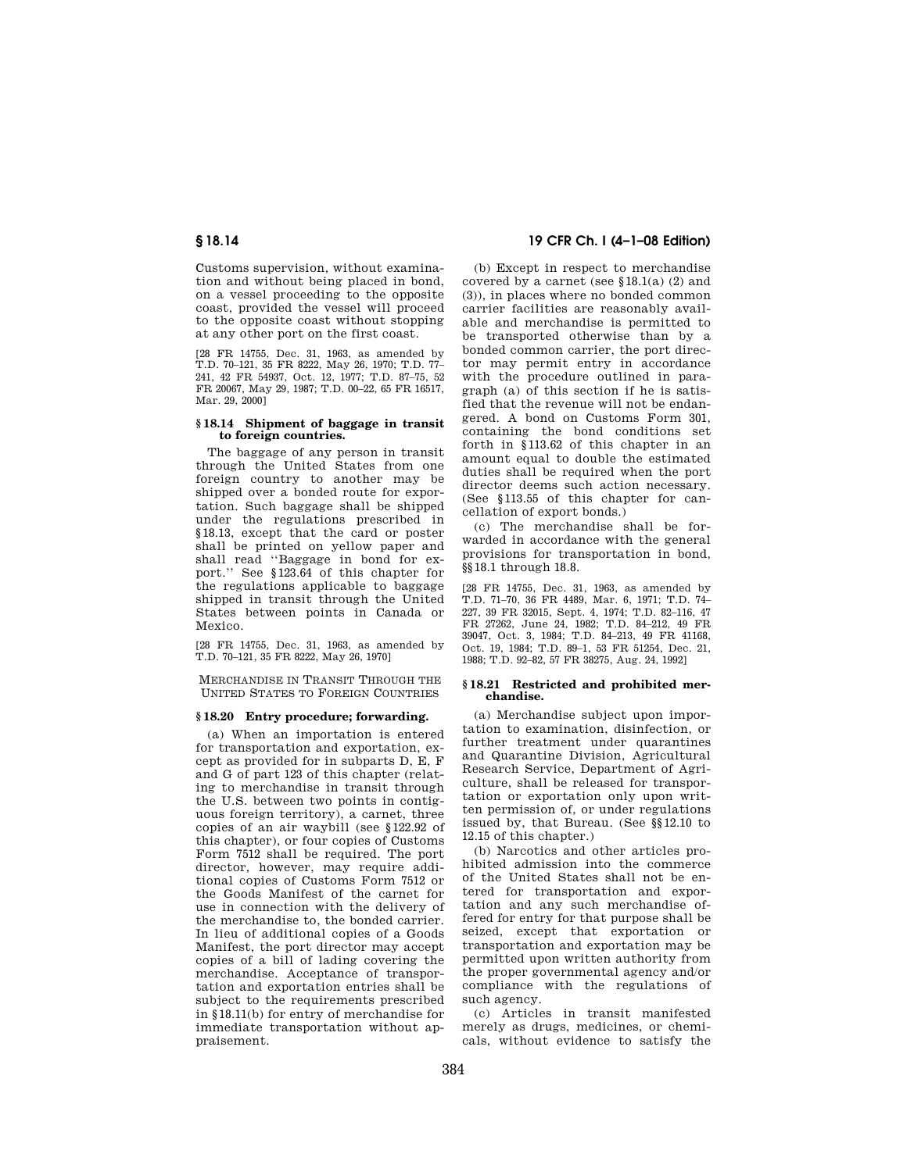Customs supervision, without examination and without being placed in bond, on a vessel proceeding to the opposite coast, provided the vessel will proceed to the opposite coast without stopping at any other port on the first coast.

[28 FR 14755, Dec. 31, 1963, as amended by T.D. 70–121, 35 FR 8222, May 26, 1970; T.D. 77– 241, 42 FR 54937, Oct. 12, 1977; T.D. 87–75, 52 FR 20067, May 29, 1987; T.D. 00–22, 65 FR 16517, Mar. 29, 2000]

# **§ 18.14 Shipment of baggage in transit to foreign countries.**

The baggage of any person in transit through the United States from one foreign country to another may be shipped over a bonded route for exportation. Such baggage shall be shipped under the regulations prescribed in §18.13, except that the card or poster shall be printed on yellow paper and shall read ''Baggage in bond for export.'' See §123.64 of this chapter for the regulations applicable to baggage shipped in transit through the United States between points in Canada or Mexico.

[28 FR 14755, Dec. 31, 1963, as amended by T.D. 70–121, 35 FR 8222, May 26, 1970]

MERCHANDISE IN TRANSIT THROUGH THE UNITED STATES TO FOREIGN COUNTRIES

# **§ 18.20 Entry procedure; forwarding.**

(a) When an importation is entered for transportation and exportation, except as provided for in subparts D, E, F and G of part 123 of this chapter (relating to merchandise in transit through the U.S. between two points in contiguous foreign territory), a carnet, three copies of an air waybill (see §122.92 of this chapter), or four copies of Customs Form 7512 shall be required. The port director, however, may require additional copies of Customs Form 7512 or the Goods Manifest of the carnet for use in connection with the delivery of the merchandise to, the bonded carrier. In lieu of additional copies of a Goods Manifest, the port director may accept copies of a bill of lading covering the merchandise. Acceptance of transportation and exportation entries shall be subject to the requirements prescribed in §18.11(b) for entry of merchandise for immediate transportation without appraisement.

# **§ 18.14 19 CFR Ch. I (4–1–08 Edition)**

(b) Except in respect to merchandise covered by a carnet (see  $$18.1(a) (2)$  and (3)), in places where no bonded common carrier facilities are reasonably available and merchandise is permitted to be transported otherwise than by a bonded common carrier, the port director may permit entry in accordance with the procedure outlined in paragraph (a) of this section if he is satisfied that the revenue will not be endangered. A bond on Customs Form 301, containing the bond conditions set forth in §113.62 of this chapter in an amount equal to double the estimated duties shall be required when the port director deems such action necessary. (See §113.55 of this chapter for cancellation of export bonds.)

(c) The merchandise shall be forwarded in accordance with the general provisions for transportation in bond, §§18.1 through 18.8.

[28 FR 14755, Dec. 31, 1963, as amended by T.D. 71–70, 36 FR 4489, Mar. 6, 1971; T.D. 74– 227, 39 FR 32015, Sept. 4, 1974; T.D. 82–116, 47 FR 27262, June 24, 1982; T.D. 84–212, 49 FR 39047, Oct. 3, 1984; T.D. 84–213, 49 FR 41168, Oct. 19, 1984; T.D. 89–1, 53 FR 51254, Dec. 21, 1988; T.D. 92–82, 57 FR 38275, Aug. 24, 1992]

## **§ 18.21 Restricted and prohibited merchandise.**

(a) Merchandise subject upon importation to examination, disinfection, or further treatment under quarantines and Quarantine Division, Agricultural Research Service, Department of Agriculture, shall be released for transportation or exportation only upon written permission of, or under regulations issued by, that Bureau. (See §§12.10 to 12.15 of this chapter.)

(b) Narcotics and other articles prohibited admission into the commerce of the United States shall not be entered for transportation and exportation and any such merchandise offered for entry for that purpose shall be seized, except that exportation or transportation and exportation may be permitted upon written authority from the proper governmental agency and/or compliance with the regulations of such agency.

(c) Articles in transit manifested merely as drugs, medicines, or chemicals, without evidence to satisfy the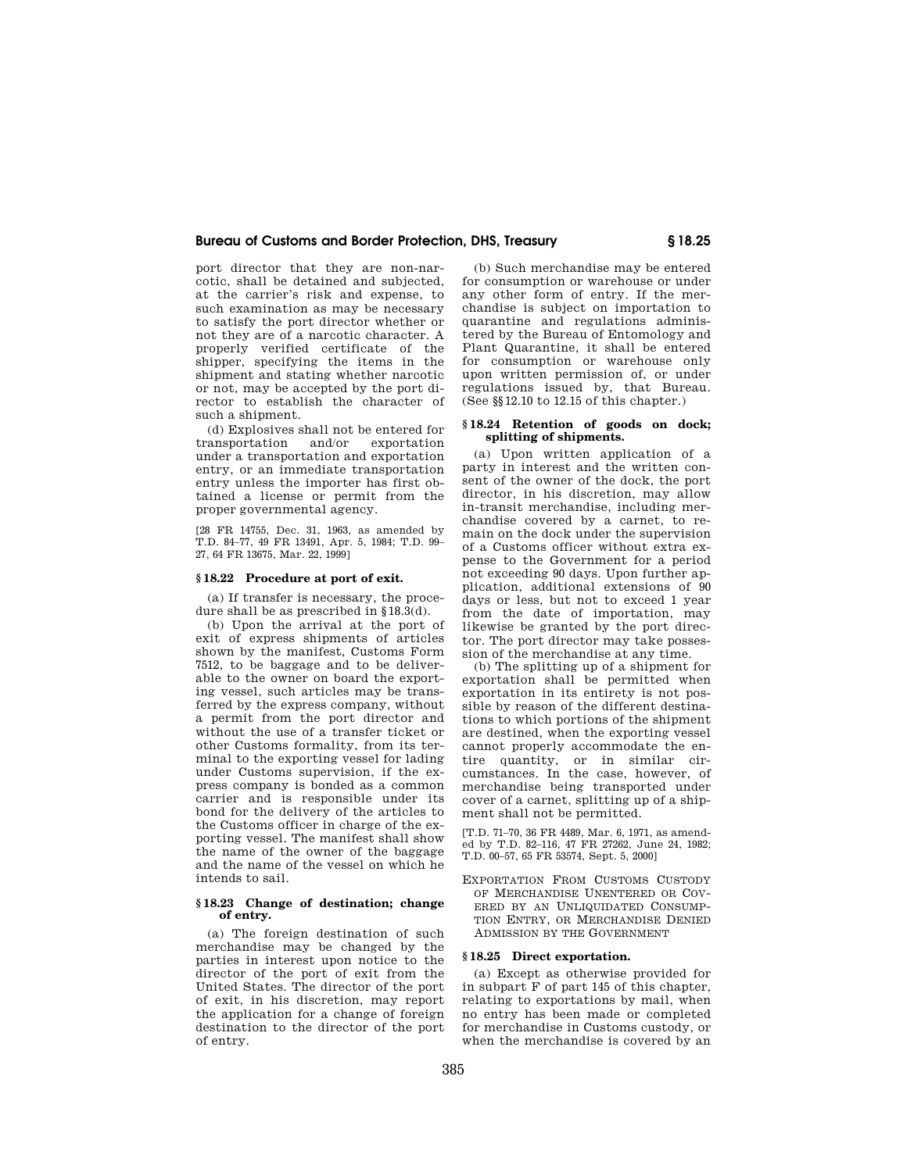port director that they are non-narcotic, shall be detained and subjected, at the carrier's risk and expense, to such examination as may be necessary to satisfy the port director whether or not they are of a narcotic character. A properly verified certificate of the shipper, specifying the items in the shipment and stating whether narcotic or not, may be accepted by the port director to establish the character of such a shipment.

(d) Explosives shall not be entered for transportation and/or exportation under a transportation and exportation entry, or an immediate transportation entry unless the importer has first obtained a license or permit from the proper governmental agency.

[28 FR 14755, Dec. 31, 1963, as amended by T.D. 84–77, 49 FR 13491, Apr. 5, 1984; T.D. 99– 27, 64 FR 13675, Mar. 22, 1999]

## **§ 18.22 Procedure at port of exit.**

(a) If transfer is necessary, the procedure shall be as prescribed in §18.3(d).

(b) Upon the arrival at the port of exit of express shipments of articles shown by the manifest, Customs Form 7512, to be baggage and to be deliverable to the owner on board the exporting vessel, such articles may be transferred by the express company, without a permit from the port director and without the use of a transfer ticket or other Customs formality, from its terminal to the exporting vessel for lading under Customs supervision, if the express company is bonded as a common carrier and is responsible under its bond for the delivery of the articles to the Customs officer in charge of the exporting vessel. The manifest shall show the name of the owner of the baggage and the name of the vessel on which he intends to sail.

# **§ 18.23 Change of destination; change of entry.**

(a) The foreign destination of such merchandise may be changed by the parties in interest upon notice to the director of the port of exit from the United States. The director of the port of exit, in his discretion, may report the application for a change of foreign destination to the director of the port of entry.

(b) Such merchandise may be entered for consumption or warehouse or under any other form of entry. If the merchandise is subject on importation to quarantine and regulations administered by the Bureau of Entomology and Plant Quarantine, it shall be entered for consumption or warehouse only upon written permission of, or under regulations issued by, that Bureau. (See §§12.10 to 12.15 of this chapter.)

# **§ 18.24 Retention of goods on dock; splitting of shipments.**

(a) Upon written application of a party in interest and the written consent of the owner of the dock, the port director, in his discretion, may allow in-transit merchandise, including merchandise covered by a carnet, to remain on the dock under the supervision of a Customs officer without extra expense to the Government for a period not exceeding 90 days. Upon further application, additional extensions of 90 days or less, but not to exceed 1 year from the date of importation, may likewise be granted by the port director. The port director may take possession of the merchandise at any time.

(b) The splitting up of a shipment for exportation shall be permitted when exportation in its entirety is not possible by reason of the different destinations to which portions of the shipment are destined, when the exporting vessel cannot properly accommodate the entire quantity, or in similar circumstances. In the case, however, of merchandise being transported under cover of a carnet, splitting up of a shipment shall not be permitted.

[T.D. 71–70, 36 FR 4489, Mar. 6, 1971, as amended by T.D. 82–116, 47 FR 27262, June 24, 1982; T.D. 00–57, 65 FR 53574, Sept. 5, 2000]

EXPORTATION FROM CUSTOMS CUSTODY OF MERCHANDISE UNENTERED OR COV-ERED BY AN UNLIQUIDATED CONSUMP-TION ENTRY, OR MERCHANDISE DENIED ADMISSION BY THE GOVERNMENT

## **§ 18.25 Direct exportation.**

(a) Except as otherwise provided for in subpart F of part 145 of this chapter, relating to exportations by mail, when no entry has been made or completed for merchandise in Customs custody, or when the merchandise is covered by an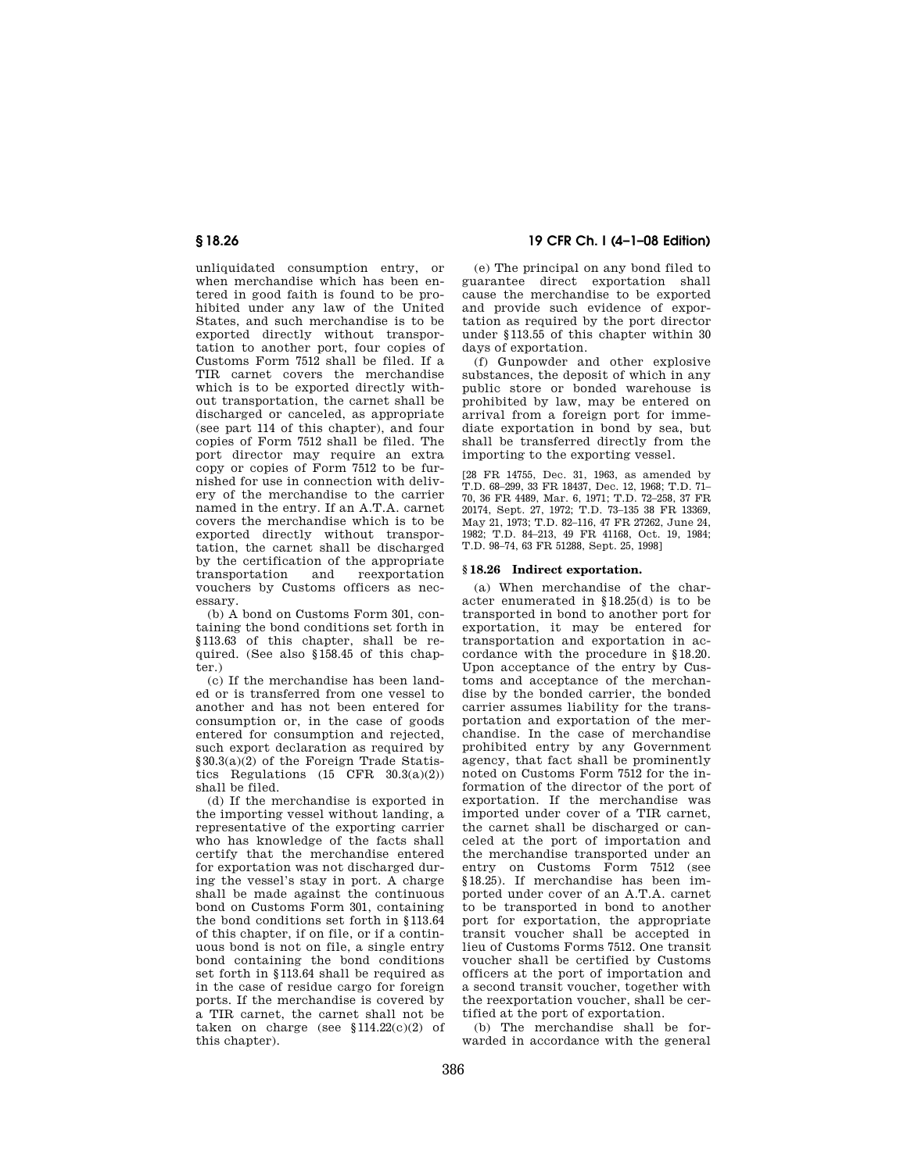unliquidated consumption entry, or when merchandise which has been entered in good faith is found to be prohibited under any law of the United States, and such merchandise is to be exported directly without transportation to another port, four copies of Customs Form 7512 shall be filed. If a TIR carnet covers the merchandise which is to be exported directly without transportation, the carnet shall be discharged or canceled, as appropriate  $(see part 114 of this chapter) and four$ copies of Form 7512 shall be filed. The port director may require an extra copy or copies of Form 7512 to be furnished for use in connection with delivery of the merchandise to the carrier named in the entry. If an A.T.A. carnet covers the merchandise which is to be exported directly without transportation, the carnet shall be discharged by the certification of the appropriate transportation and reexportation vouchers by Customs officers as necessary.

(b) A bond on Customs Form 301, containing the bond conditions set forth in §113.63 of this chapter, shall be required. (See also §158.45 of this chapter.)

(c) If the merchandise has been landed or is transferred from one vessel to another and has not been entered for consumption or, in the case of goods entered for consumption and rejected, such export declaration as required by §30.3(a)(2) of the Foreign Trade Statistics Regulations  $(15 \text{ CFR} \quad 30.3(a)(2))$ shall be filed.

(d) If the merchandise is exported in the importing vessel without landing, a representative of the exporting carrier who has knowledge of the facts shall certify that the merchandise entered for exportation was not discharged during the vessel's stay in port. A charge shall be made against the continuous bond on Customs Form 301, containing the bond conditions set forth in §113.64 of this chapter, if on file, or if a continuous bond is not on file, a single entry bond containing the bond conditions set forth in §113.64 shall be required as in the case of residue cargo for foreign ports. If the merchandise is covered by a TIR carnet, the carnet shall not be taken on charge (see  $$114.22(c)(2)$  of this chapter).

# **§ 18.26 19 CFR Ch. I (4–1–08 Edition)**

(e) The principal on any bond filed to guarantee direct exportation shall cause the merchandise to be exported and provide such evidence of exportation as required by the port director under §113.55 of this chapter within 30 days of exportation.

(f) Gunpowder and other explosive substances, the deposit of which in any public store or bonded warehouse is prohibited by law, may be entered on arrival from a foreign port for immediate exportation in bond by sea, but shall be transferred directly from the importing to the exporting vessel.

[28 FR 14755, Dec. 31, 1963, as amended by T.D. 68–299, 33 FR 18437, Dec. 12, 1968; T.D. 71– 70, 36 FR 4489, Mar. 6, 1971; T.D. 72–258, 37 FR 20174, Sept. 27, 1972; T.D. 73–135 38 FR 13369, May 21, 1973; T.D. 82–116, 47 FR 27262, June 24, 1982; T.D. 84–213, 49 FR 41168, Oct. 19, 1984; T.D. 98–74, 63 FR 51288, Sept. 25, 1998]

# **§ 18.26 Indirect exportation.**

(a) When merchandise of the character enumerated in §18.25(d) is to be transported in bond to another port for exportation, it may be entered for transportation and exportation in accordance with the procedure in §18.20. Upon acceptance of the entry by Customs and acceptance of the merchandise by the bonded carrier, the bonded carrier assumes liability for the transportation and exportation of the merchandise. In the case of merchandise prohibited entry by any Government agency, that fact shall be prominently noted on Customs Form 7512 for the information of the director of the port of exportation. If the merchandise was imported under cover of a TIR carnet, the carnet shall be discharged or canceled at the port of importation and the merchandise transported under an entry on Customs Form 7512 (see §18.25). If merchandise has been imported under cover of an A.T.A. carnet to be transported in bond to another port for exportation, the appropriate transit voucher shall be accepted in lieu of Customs Forms 7512. One transit voucher shall be certified by Customs officers at the port of importation and a second transit voucher, together with the reexportation voucher, shall be certified at the port of exportation.

(b) The merchandise shall be forwarded in accordance with the general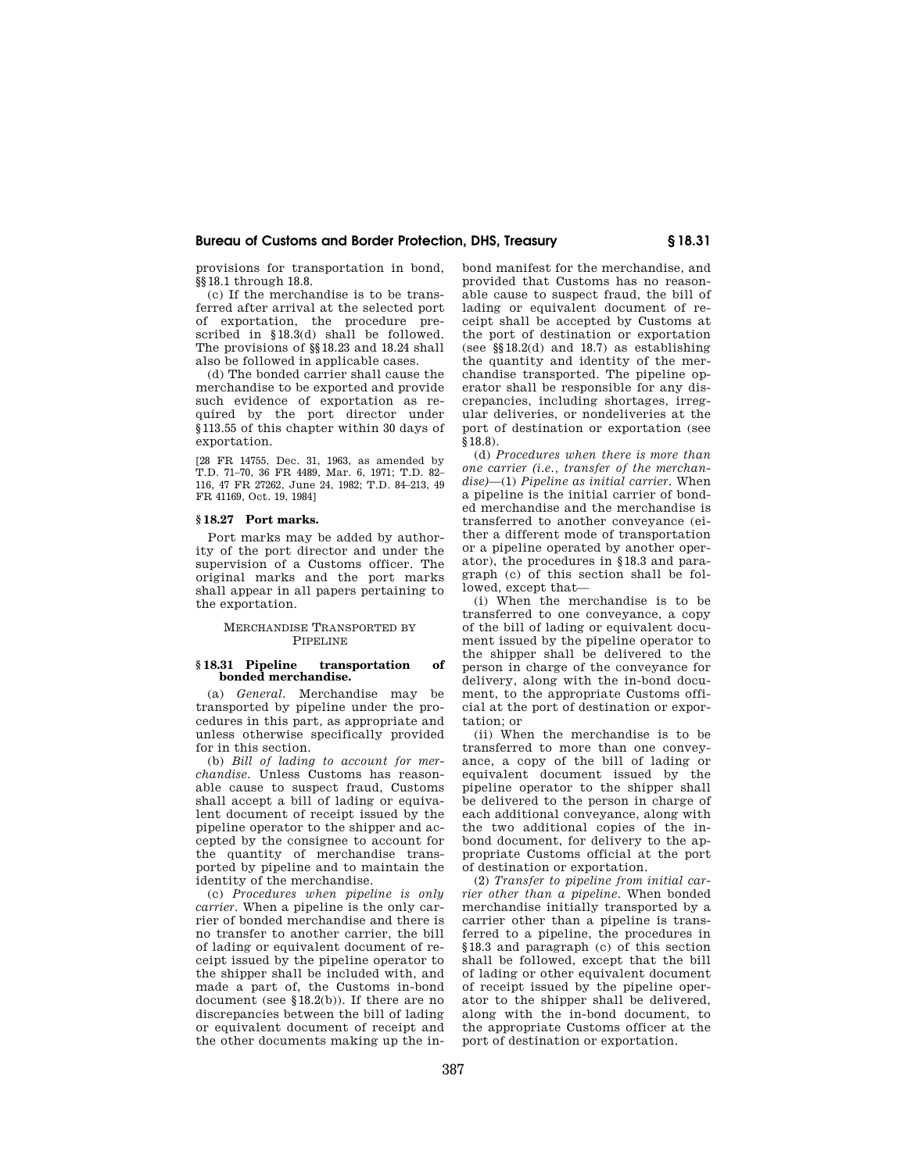provisions for transportation in bond, <sub>.</sub><br>§§ 18.1 through 18.8.

(c) If the merchandise is to be transferred after arrival at the selected port of exportation, the procedure prescribed in §18.3(d) shall be followed. The provisions of §§18.23 and 18.24 shall also be followed in applicable cases.

(d) The bonded carrier shall cause the merchandise to be exported and provide such evidence of exportation as required by the port director under §113.55 of this chapter within 30 days of exportation.

[28 FR 14755, Dec. 31, 1963, as amended by T.D. 71–70, 36 FR 4489, Mar. 6, 1971; T.D. 82– 116, 47 FR 27262, June 24, 1982; T.D. 84–213, 49 FR 41169, Oct. 19, 1984]

# **§ 18.27 Port marks.**

Port marks may be added by authority of the port director and under the supervision of a Customs officer. The original marks and the port marks shall appear in all papers pertaining to the exportation.

# MERCHANDISE TRANSPORTED BY PIPELINE

#### **§ 18.31 Pipeline transportation of bonded merchandise.**

(a) *General.* Merchandise may be transported by pipeline under the procedures in this part, as appropriate and unless otherwise specifically provided for in this section.

(b) *Bill of lading to account for merchandise*. Unless Customs has reasonable cause to suspect fraud, Customs shall accept a bill of lading or equivalent document of receipt issued by the pipeline operator to the shipper and accepted by the consignee to account for the quantity of merchandise transported by pipeline and to maintain the identity of the merchandise.

(c) *Procedures when pipeline is only carrier.* When a pipeline is the only carrier of bonded merchandise and there is no transfer to another carrier, the bill of lading or equivalent document of receipt issued by the pipeline operator to the shipper shall be included with, and made a part of, the Customs in-bond document (see §18.2(b)). If there are no discrepancies between the bill of lading or equivalent document of receipt and the other documents making up the inbond manifest for the merchandise, and provided that Customs has no reasonable cause to suspect fraud, the bill of lading or equivalent document of receipt shall be accepted by Customs at the port of destination or exportation (see §§18.2(d) and 18.7) as establishing the quantity and identity of the merchandise transported. The pipeline operator shall be responsible for any discrepancies, including shortages, irregular deliveries, or nondeliveries at the port of destination or exportation (see §18.8).

(d) *Procedures when there is more than one carrier (i.e., transfer of the merchandise)*—(1) *Pipeline as initial carrier.* When a pipeline is the initial carrier of bonded merchandise and the merchandise is transferred to another conveyance (either a different mode of transportation or a pipeline operated by another operator), the procedures in §18.3 and paragraph (c) of this section shall be followed, except that—

(i) When the merchandise is to be transferred to one conveyance, a copy of the bill of lading or equivalent document issued by the pipeline operator to the shipper shall be delivered to the person in charge of the conveyance for delivery, along with the in-bond document, to the appropriate Customs official at the port of destination or exportation; or

(ii) When the merchandise is to be transferred to more than one conveyance, a copy of the bill of lading or equivalent document issued by the pipeline operator to the shipper shall be delivered to the person in charge of each additional conveyance, along with the two additional copies of the inbond document, for delivery to the appropriate Customs official at the port of destination or exportation.

(2) *Transfer to pipeline from initial carrier other than a pipeline.* When bonded merchandise initially transported by a carrier other than a pipeline is transferred to a pipeline, the procedures in §18.3 and paragraph (c) of this section shall be followed, except that the bill of lading or other equivalent document of receipt issued by the pipeline operator to the shipper shall be delivered, along with the in-bond document, to the appropriate Customs officer at the port of destination or exportation.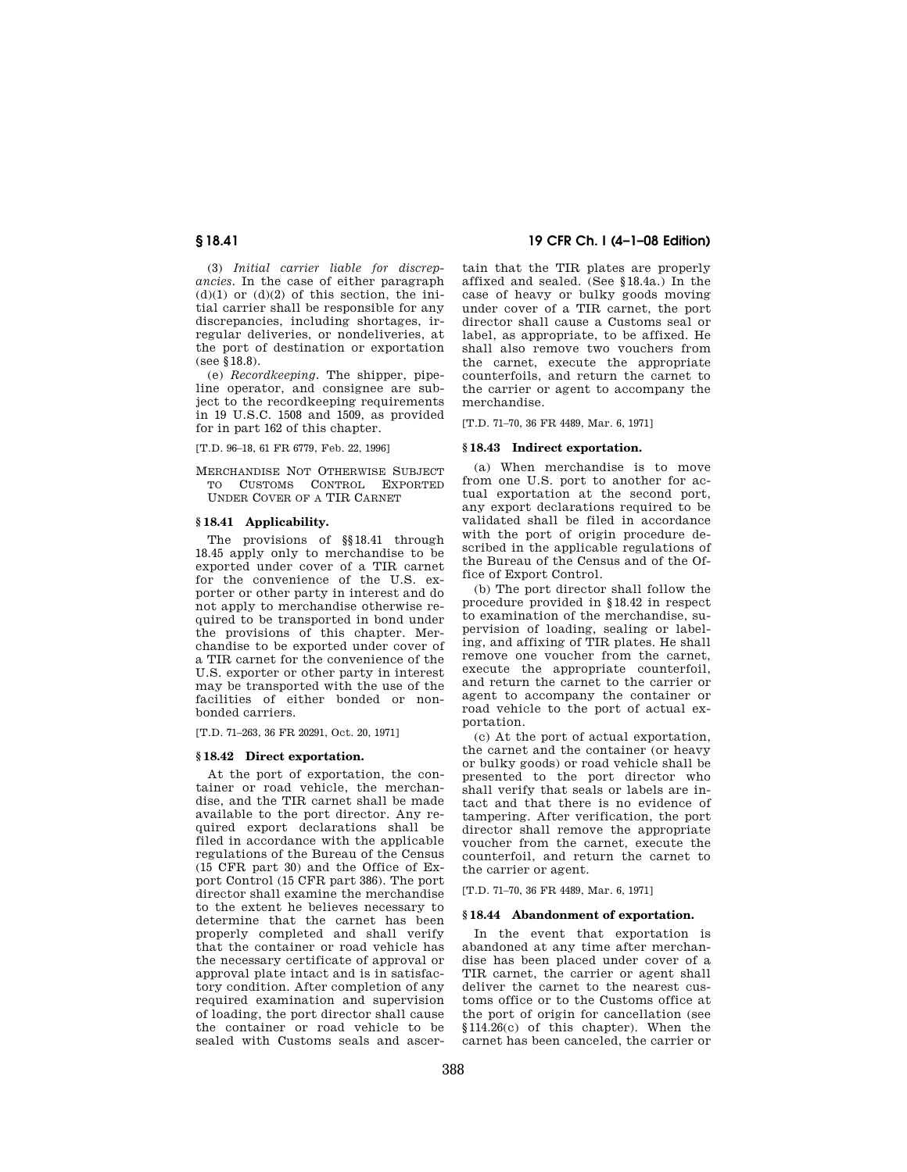(3) *Initial carrier liable for discrepancies.* In the case of either paragraph  $(d)(1)$  or  $(d)(2)$  of this section, the initial carrier shall be responsible for any discrepancies, including shortages, irregular deliveries, or nondeliveries, at the port of destination or exportation (see §18.8).

(e) *Recordkeeping.* The shipper, pipeline operator, and consignee are subject to the recordkeeping requirements in 19 U.S.C. 1508 and 1509, as provided for in part 162 of this chapter.

[T.D. 96–18, 61 FR 6779, Feb. 22, 1996]

MERCHANDISE NOT OTHERWISE SUBJECT TO CUSTOMS CONTROL EXPORTED UNDER COVER OF A TIR CARNET

## **§ 18.41 Applicability.**

The provisions of  $\S 18.41$  through 18.45 apply only to merchandise to be exported under cover of a TIR carnet for the convenience of the U.S. exporter or other party in interest and do not apply to merchandise otherwise required to be transported in bond under the provisions of this chapter. Merchandise to be exported under cover of a TIR carnet for the convenience of the U.S. exporter or other party in interest may be transported with the use of the facilities of either bonded or nonbonded carriers.

[T.D. 71–263, 36 FR 20291, Oct. 20, 1971]

## **§ 18.42 Direct exportation.**

At the port of exportation, the container or road vehicle, the merchandise, and the TIR carnet shall be made available to the port director. Any required export declarations shall be filed in accordance with the applicable regulations of the Bureau of the Census (15 CFR part 30) and the Office of Export Control (15 CFR part 386). The port director shall examine the merchandise to the extent he believes necessary to determine that the carnet has been properly completed and shall verify that the container or road vehicle has the necessary certificate of approval or approval plate intact and is in satisfactory condition. After completion of any required examination and supervision of loading, the port director shall cause the container or road vehicle to be sealed with Customs seals and ascer-

# **§ 18.41 19 CFR Ch. I (4–1–08 Edition)**

tain that the TIR plates are properly affixed and sealed. (See §18.4a.) In the case of heavy or bulky goods moving under cover of a TIR carnet, the port director shall cause a Customs seal or label, as appropriate, to be affixed. He shall also remove two vouchers from the carnet, execute the appropriate counterfoils, and return the carnet to the carrier or agent to accompany the merchandise.

[T.D. 71–70, 36 FR 4489, Mar. 6, 1971]

## **§ 18.43 Indirect exportation.**

(a) When merchandise is to move from one U.S. port to another for actual exportation at the second port, any export declarations required to be validated shall be filed in accordance with the port of origin procedure described in the applicable regulations of the Bureau of the Census and of the Office of Export Control.

(b) The port director shall follow the procedure provided in §18.42 in respect to examination of the merchandise, supervision of loading, sealing or labeling, and affixing of TIR plates. He shall remove one voucher from the carnet, execute the appropriate counterfoil, and return the carnet to the carrier or agent to accompany the container or road vehicle to the port of actual exportation.

(c) At the port of actual exportation, the carnet and the container (or heavy or bulky goods) or road vehicle shall be presented to the port director who shall verify that seals or labels are intact and that there is no evidence of tampering. After verification, the port director shall remove the appropriate voucher from the carnet, execute the counterfoil, and return the carnet to the carrier or agent.

[T.D. 71–70, 36 FR 4489, Mar. 6, 1971]

## **§ 18.44 Abandonment of exportation.**

In the event that exportation is abandoned at any time after merchandise has been placed under cover of a TIR carnet, the carrier or agent shall deliver the carnet to the nearest customs office or to the Customs office at the port of origin for cancellation (see §114.26(c) of this chapter). When the carnet has been canceled, the carrier or